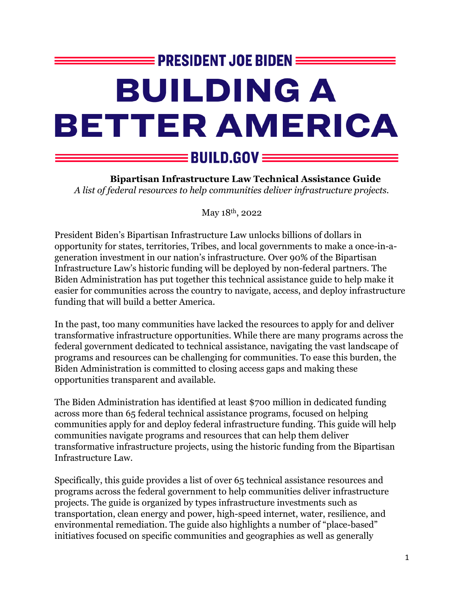

**Bipartisan Infrastructure Law Technical Assistance Guide** *A list of federal resources to help communities deliver infrastructure projects.* 

May 18th, 2022

President Biden's Bipartisan Infrastructure Law unlocks billions of dollars in opportunity for states, territories, Tribes, and local governments to make a once-in-ageneration investment in our nation's infrastructure. Over 90% of the Bipartisan Infrastructure Law's historic funding will be deployed by non-federal partners. The Biden Administration has put together this technical assistance guide to help make it easier for communities across the country to navigate, access, and deploy infrastructure funding that will build a better America.

In the past, too many communities have lacked the resources to apply for and deliver transformative infrastructure opportunities. While there are many programs across the federal government dedicated to technical assistance, navigating the vast landscape of programs and resources can be challenging for communities. To ease this burden, the Biden Administration is committed to closing access gaps and making these opportunities transparent and available.

The Biden Administration has identified at least \$700 million in dedicated funding across more than 65 federal technical assistance programs, focused on helping communities apply for and deploy federal infrastructure funding. This guide will help communities navigate programs and resources that can help them deliver transformative infrastructure projects, using the historic funding from the Bipartisan Infrastructure Law.

Specifically, this guide provides a list of over 65 technical assistance resources and programs across the federal government to help communities deliver infrastructure projects. The guide is organized by types infrastructure investments such as transportation, clean energy and power, high-speed internet, water, resilience, and environmental remediation. The guide also highlights a number of "place-based" initiatives focused on specific communities and geographies as well as generally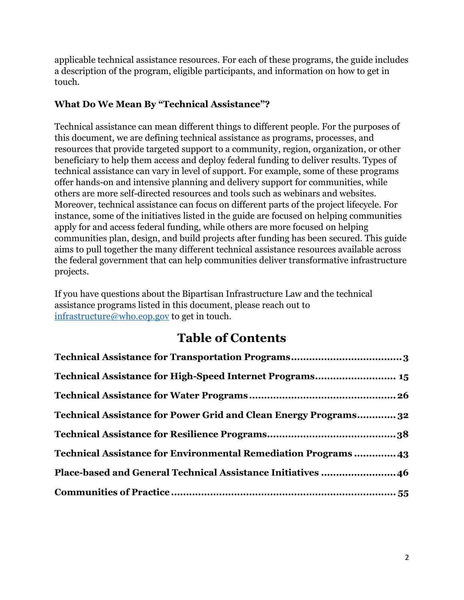applicable technical assistance resources. For each of these programs, the guide includes a description of the program, eligible participants, and information on how to get in touch.

### **What Do We Mean By "Technical Assistance"?**

Technical assistance can mean different things to different people. For the purposes of this document, we are defining technical assistance as programs, processes, and resources that provide targeted support to a community, region, organization, or other beneficiary to help them access and deploy federal funding to deliver results. Types of technical assistance can vary in level of support. For example, some of these programs offer hands-on and intensive planning and delivery support for communities, while others are more self-directed resources and tools such as webinars and websites. Moreover, technical assistance can focus on different parts of the project lifecycle. For instance, some of the initiatives listed in the guide are focused on helping communities apply for and access federal funding, while others are more focused on helping communities plan, design, and build projects after funding has been secured. This guide aims to pull together the many different technical assistance resources available across the federal government that can help communities deliver transformative infrastructure projects.

If you have questions about the Bipartisan Infrastructure Law and the technical assistance programs listed in this document, please reach out to [infrastructure@who.eop.gov](mailto:infrastructure@who.eop.gov) to get in touch.

# **Table of Contents**

<span id="page-1-0"></span>

| Technical Assistance for High-Speed Internet Programs 15        |  |
|-----------------------------------------------------------------|--|
|                                                                 |  |
| Technical Assistance for Power Grid and Clean Energy Programs32 |  |
|                                                                 |  |
| Technical Assistance for Environmental Remediation Programs 43  |  |
|                                                                 |  |
|                                                                 |  |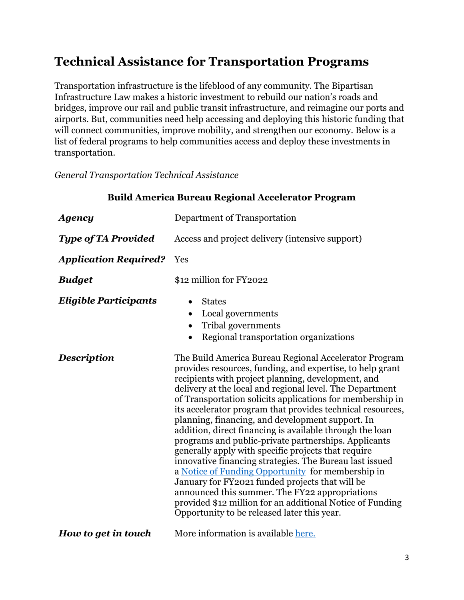## **Technical Assistance for Transportation Programs**

Transportation infrastructure is the lifeblood of any community. The Bipartisan Infrastructure Law makes a historic investment to rebuild our nation's roads and bridges, improve our rail and public transit infrastructure, and reimagine our ports and airports. But, communities need help accessing and deploying this historic funding that will connect communities, improve mobility, and strengthen our economy. Below is a list of federal programs to help communities access and deploy these investments in transportation.

#### *General Transportation Technical Assistance*

# **Build America Bureau Regional Accelerator Program**

| Agency                       | Department of Transportation                                                                                                                                                                                                                                                                                                                                                                                                                                                                                                                                                                                                                                                                                                                                                                                                                                                                                                    |
|------------------------------|---------------------------------------------------------------------------------------------------------------------------------------------------------------------------------------------------------------------------------------------------------------------------------------------------------------------------------------------------------------------------------------------------------------------------------------------------------------------------------------------------------------------------------------------------------------------------------------------------------------------------------------------------------------------------------------------------------------------------------------------------------------------------------------------------------------------------------------------------------------------------------------------------------------------------------|
| <b>Type of TA Provided</b>   | Access and project delivery (intensive support)                                                                                                                                                                                                                                                                                                                                                                                                                                                                                                                                                                                                                                                                                                                                                                                                                                                                                 |
| <b>Application Required?</b> | Yes                                                                                                                                                                                                                                                                                                                                                                                                                                                                                                                                                                                                                                                                                                                                                                                                                                                                                                                             |
| <b>Budget</b>                | \$12 million for FY2022                                                                                                                                                                                                                                                                                                                                                                                                                                                                                                                                                                                                                                                                                                                                                                                                                                                                                                         |
| <b>Eligible Participants</b> | <b>States</b><br>$\bullet$<br>Local governments<br>$\bullet$<br>Tribal governments<br>$\bullet$<br>Regional transportation organizations<br>$\bullet$                                                                                                                                                                                                                                                                                                                                                                                                                                                                                                                                                                                                                                                                                                                                                                           |
| <b>Description</b>           | The Build America Bureau Regional Accelerator Program<br>provides resources, funding, and expertise, to help grant<br>recipients with project planning, development, and<br>delivery at the local and regional level. The Department<br>of Transportation solicits applications for membership in<br>its accelerator program that provides technical resources,<br>planning, financing, and development support. In<br>addition, direct financing is available through the loan<br>programs and public-private partnerships. Applicants<br>generally apply with specific projects that require<br>innovative financing strategies. The Bureau last issued<br>a Notice of Funding Opportunity for membership in<br>January for FY2021 funded projects that will be<br>announced this summer. The FY22 appropriations<br>provided \$12 million for an additional Notice of Funding<br>Opportunity to be released later this year. |
| How to get in touch          | More information is available here.                                                                                                                                                                                                                                                                                                                                                                                                                                                                                                                                                                                                                                                                                                                                                                                                                                                                                             |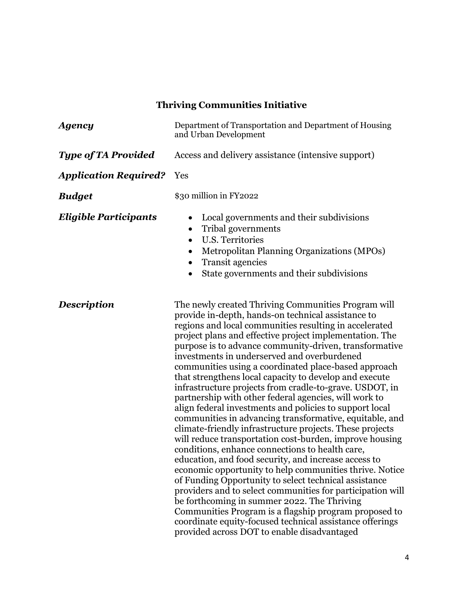# **Thriving Communities Initiative**

| <b>Agency</b>                | Department of Transportation and Department of Housing<br>and Urban Development                                                                                                                                                                                                                                                                                                                                                                                                                                                                                                                                                                                                                                                                                                                                                                                                                                                                                                                                                                                                                                                                                                                                                                                                                                                            |
|------------------------------|--------------------------------------------------------------------------------------------------------------------------------------------------------------------------------------------------------------------------------------------------------------------------------------------------------------------------------------------------------------------------------------------------------------------------------------------------------------------------------------------------------------------------------------------------------------------------------------------------------------------------------------------------------------------------------------------------------------------------------------------------------------------------------------------------------------------------------------------------------------------------------------------------------------------------------------------------------------------------------------------------------------------------------------------------------------------------------------------------------------------------------------------------------------------------------------------------------------------------------------------------------------------------------------------------------------------------------------------|
| <b>Type of TA Provided</b>   | Access and delivery assistance (intensive support)                                                                                                                                                                                                                                                                                                                                                                                                                                                                                                                                                                                                                                                                                                                                                                                                                                                                                                                                                                                                                                                                                                                                                                                                                                                                                         |
| <b>Application Required?</b> | Yes                                                                                                                                                                                                                                                                                                                                                                                                                                                                                                                                                                                                                                                                                                                                                                                                                                                                                                                                                                                                                                                                                                                                                                                                                                                                                                                                        |
| <b>Budget</b>                | \$30 million in FY2022                                                                                                                                                                                                                                                                                                                                                                                                                                                                                                                                                                                                                                                                                                                                                                                                                                                                                                                                                                                                                                                                                                                                                                                                                                                                                                                     |
| <b>Eligible Participants</b> | Local governments and their subdivisions<br>Tribal governments<br>$\bullet$<br><b>U.S. Territories</b><br>$\bullet$<br>Metropolitan Planning Organizations (MPOs)<br><b>Transit agencies</b><br>State governments and their subdivisions<br>٠                                                                                                                                                                                                                                                                                                                                                                                                                                                                                                                                                                                                                                                                                                                                                                                                                                                                                                                                                                                                                                                                                              |
| <b>Description</b>           | The newly created Thriving Communities Program will<br>provide in-depth, hands-on technical assistance to<br>regions and local communities resulting in accelerated<br>project plans and effective project implementation. The<br>purpose is to advance community-driven, transformative<br>investments in underserved and overburdened<br>communities using a coordinated place-based approach<br>that strengthens local capacity to develop and execute<br>infrastructure projects from cradle-to-grave. USDOT, in<br>partnership with other federal agencies, will work to<br>align federal investments and policies to support local<br>communities in advancing transformative, equitable, and<br>climate-friendly infrastructure projects. These projects<br>will reduce transportation cost-burden, improve housing<br>conditions, enhance connections to health care,<br>education, and food security, and increase access to<br>economic opportunity to help communities thrive. Notice<br>of Funding Opportunity to select technical assistance<br>providers and to select communities for participation will<br>be forthcoming in summer 2022. The Thriving<br>Communities Program is a flagship program proposed to<br>coordinate equity-focused technical assistance offerings<br>provided across DOT to enable disadvantaged |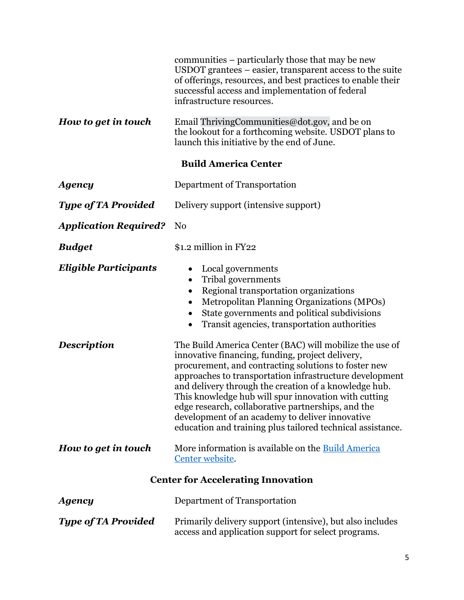| How to get in touch                       | communities – particularly those that may be new<br>$USDOT$ grantees $-$ easier, transparent access to the suite<br>of offerings, resources, and best practices to enable their<br>successful access and implementation of federal<br>infrastructure resources.<br>Email ThrivingCommunities@dot.gov, and be on<br>the lookout for a forthcoming website. USDOT plans to<br>launch this initiative by the end of June.                                                                                                 |
|-------------------------------------------|------------------------------------------------------------------------------------------------------------------------------------------------------------------------------------------------------------------------------------------------------------------------------------------------------------------------------------------------------------------------------------------------------------------------------------------------------------------------------------------------------------------------|
|                                           | <b>Build America Center</b>                                                                                                                                                                                                                                                                                                                                                                                                                                                                                            |
| Agency                                    | Department of Transportation                                                                                                                                                                                                                                                                                                                                                                                                                                                                                           |
| <b>Type of TA Provided</b>                | Delivery support (intensive support)                                                                                                                                                                                                                                                                                                                                                                                                                                                                                   |
| <b>Application Required?</b>              | N <sub>0</sub>                                                                                                                                                                                                                                                                                                                                                                                                                                                                                                         |
| <b>Budget</b>                             | \$1.2 million in FY22                                                                                                                                                                                                                                                                                                                                                                                                                                                                                                  |
| <b>Eligible Participants</b>              | Local governments<br>Tribal governments<br>$\bullet$<br>Regional transportation organizations<br>$\bullet$<br>Metropolitan Planning Organizations (MPOs)<br>State governments and political subdivisions<br>Transit agencies, transportation authorities                                                                                                                                                                                                                                                               |
| <b>Description</b>                        | The Build America Center (BAC) will mobilize the use of<br>innovative financing, funding, project delivery,<br>procurement, and contracting solutions to foster new<br>approaches to transportation infrastructure development<br>and delivery through the creation of a knowledge hub.<br>This knowledge hub will spur innovation with cutting<br>edge research, collaborative partnerships, and the<br>development of an academy to deliver innovative<br>education and training plus tailored technical assistance. |
| How to get in touch                       | More information is available on the <b>Build America</b><br>Center website.                                                                                                                                                                                                                                                                                                                                                                                                                                           |
| <b>Center for Accelerating Innovation</b> |                                                                                                                                                                                                                                                                                                                                                                                                                                                                                                                        |
| <b>Agency</b>                             | Department of Transportation                                                                                                                                                                                                                                                                                                                                                                                                                                                                                           |
| <b>Type of TA Provided</b>                | Primarily delivery support (intensive), but also includes<br>access and application support for select programs.                                                                                                                                                                                                                                                                                                                                                                                                       |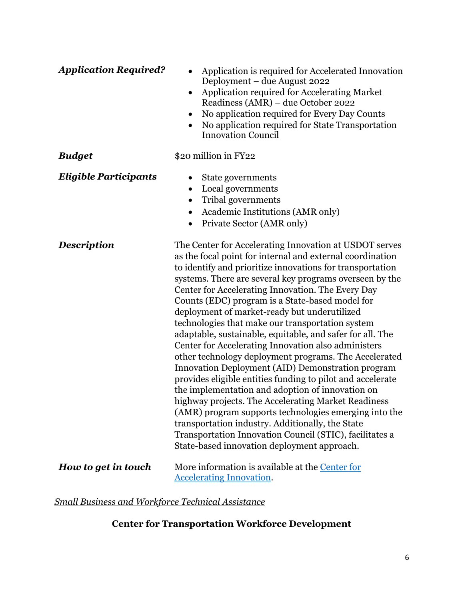| <b>Application Required?</b> | Application is required for Accelerated Innovation<br>Deployment – due August 2022<br>Application required for Accelerating Market<br>Readiness (AMR) - due October 2022<br>No application required for Every Day Counts<br>No application required for State Transportation<br><b>Innovation Council</b>                                                                                                                                                                                                                                                                                                                                                                                                                                                                                                                                                                                                                                                                                                                                                                                 |
|------------------------------|-------------------------------------------------------------------------------------------------------------------------------------------------------------------------------------------------------------------------------------------------------------------------------------------------------------------------------------------------------------------------------------------------------------------------------------------------------------------------------------------------------------------------------------------------------------------------------------------------------------------------------------------------------------------------------------------------------------------------------------------------------------------------------------------------------------------------------------------------------------------------------------------------------------------------------------------------------------------------------------------------------------------------------------------------------------------------------------------|
| <b>Budget</b>                | \$20 million in FY22                                                                                                                                                                                                                                                                                                                                                                                                                                                                                                                                                                                                                                                                                                                                                                                                                                                                                                                                                                                                                                                                      |
| <b>Eligible Participants</b> | State governments<br>$\bullet$<br>Local governments<br>٠<br>Tribal governments<br>$\bullet$<br>Academic Institutions (AMR only)<br>Private Sector (AMR only)<br>$\bullet$                                                                                                                                                                                                                                                                                                                                                                                                                                                                                                                                                                                                                                                                                                                                                                                                                                                                                                                 |
| <b>Description</b>           | The Center for Accelerating Innovation at USDOT serves<br>as the focal point for internal and external coordination<br>to identify and prioritize innovations for transportation<br>systems. There are several key programs overseen by the<br>Center for Accelerating Innovation. The Every Day<br>Counts (EDC) program is a State-based model for<br>deployment of market-ready but underutilized<br>technologies that make our transportation system<br>adaptable, sustainable, equitable, and safer for all. The<br>Center for Accelerating Innovation also administers<br>other technology deployment programs. The Accelerated<br>Innovation Deployment (AID) Demonstration program<br>provides eligible entities funding to pilot and accelerate<br>the implementation and adoption of innovation on<br>highway projects. The Accelerating Market Readiness<br>(AMR) program supports technologies emerging into the<br>transportation industry. Additionally, the State<br>Transportation Innovation Council (STIC), facilitates a<br>State-based innovation deployment approach. |
| How to get in touch          | More information is available at the Center for<br><b>Accelerating Innovation.</b>                                                                                                                                                                                                                                                                                                                                                                                                                                                                                                                                                                                                                                                                                                                                                                                                                                                                                                                                                                                                        |

### *Small Business and Workforce Technical Assistance*

### **Center for Transportation Workforce Development**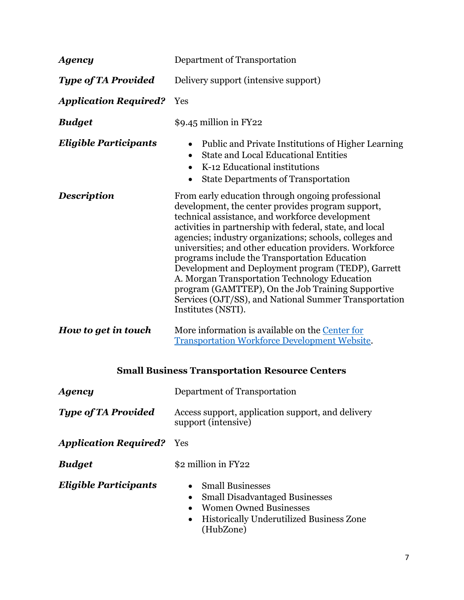| <b>Agency</b>                                         | Department of Transportation                                                                                                                                                                                                                                                                                                                                                                                                                                                                                                                                                                                                           |
|-------------------------------------------------------|----------------------------------------------------------------------------------------------------------------------------------------------------------------------------------------------------------------------------------------------------------------------------------------------------------------------------------------------------------------------------------------------------------------------------------------------------------------------------------------------------------------------------------------------------------------------------------------------------------------------------------------|
| <b>Type of TA Provided</b>                            | Delivery support (intensive support)                                                                                                                                                                                                                                                                                                                                                                                                                                                                                                                                                                                                   |
| <b>Application Required?</b>                          | Yes                                                                                                                                                                                                                                                                                                                                                                                                                                                                                                                                                                                                                                    |
| <b>Budget</b>                                         | \$9.45 million in FY22                                                                                                                                                                                                                                                                                                                                                                                                                                                                                                                                                                                                                 |
| <b>Eligible Participants</b>                          | Public and Private Institutions of Higher Learning<br><b>State and Local Educational Entities</b><br>$\bullet$<br>K-12 Educational institutions<br>$\bullet$<br><b>State Departments of Transportation</b>                                                                                                                                                                                                                                                                                                                                                                                                                             |
| <b>Description</b>                                    | From early education through ongoing professional<br>development, the center provides program support,<br>technical assistance, and workforce development<br>activities in partnership with federal, state, and local<br>agencies; industry organizations; schools, colleges and<br>universities; and other education providers. Workforce<br>programs include the Transportation Education<br>Development and Deployment program (TEDP), Garrett<br>A. Morgan Transportation Technology Education<br>program (GAMTTEP), On the Job Training Supportive<br>Services (OJT/SS), and National Summer Transportation<br>Institutes (NSTI). |
| How to get in touch                                   | More information is available on the Center for<br><b>Transportation Workforce Development Website.</b>                                                                                                                                                                                                                                                                                                                                                                                                                                                                                                                                |
| <b>Small Business Transportation Resource Centers</b> |                                                                                                                                                                                                                                                                                                                                                                                                                                                                                                                                                                                                                                        |
| <b>Agency</b>                                         | Department of Transportation                                                                                                                                                                                                                                                                                                                                                                                                                                                                                                                                                                                                           |
| <b>Type of TA Provided</b>                            | Access support, application support, and delivery<br>support (intensive)                                                                                                                                                                                                                                                                                                                                                                                                                                                                                                                                                               |

*Application Required?* Yes

*Budget* \$2 million in FY22 *Eligible Participants* • Small Businesses

- Small Disadvantaged Businesses
- Women Owned Businesses
- Historically Underutilized Business Zone (HubZone)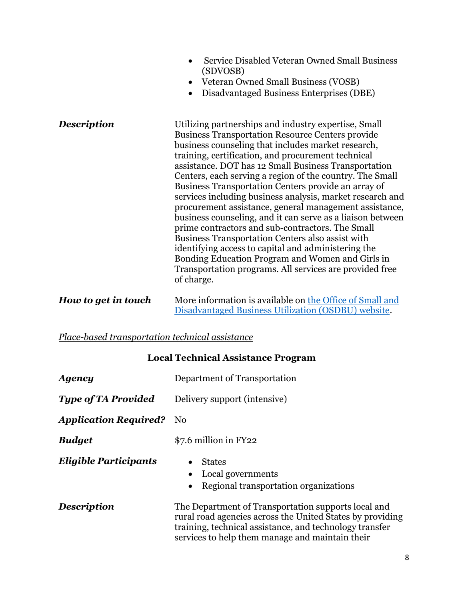|                     | Service Disabled Veteran Owned Small Business<br>(SDVOSB)<br><b>Veteran Owned Small Business (VOSB)</b><br>$\bullet$<br>Disadvantaged Business Enterprises (DBE)                                                                                                                                                                                                                                                                                                                                                                                                                                                                                                                                                                                                                                                                                                                        |
|---------------------|-----------------------------------------------------------------------------------------------------------------------------------------------------------------------------------------------------------------------------------------------------------------------------------------------------------------------------------------------------------------------------------------------------------------------------------------------------------------------------------------------------------------------------------------------------------------------------------------------------------------------------------------------------------------------------------------------------------------------------------------------------------------------------------------------------------------------------------------------------------------------------------------|
| <b>Description</b>  | Utilizing partnerships and industry expertise, Small<br><b>Business Transportation Resource Centers provide</b><br>business counseling that includes market research,<br>training, certification, and procurement technical<br>assistance. DOT has 12 Small Business Transportation<br>Centers, each serving a region of the country. The Small<br>Business Transportation Centers provide an array of<br>services including business analysis, market research and<br>procurement assistance, general management assistance,<br>business counseling, and it can serve as a liaison between<br>prime contractors and sub-contractors. The Small<br>Business Transportation Centers also assist with<br>identifying access to capital and administering the<br>Bonding Education Program and Women and Girls in<br>Transportation programs. All services are provided free<br>of charge. |
| How to get in touch | More information is available on the Office of Small and<br>Disadvantaged Business Utilization (OSDBU) website.                                                                                                                                                                                                                                                                                                                                                                                                                                                                                                                                                                                                                                                                                                                                                                         |

### *Place-based transportation technical assistance*

### **Local Technical Assistance Program**

| Agency                       | Department of Transportation                                                                                                                                                                                                   |
|------------------------------|--------------------------------------------------------------------------------------------------------------------------------------------------------------------------------------------------------------------------------|
| <b>Type of TA Provided</b>   | Delivery support (intensive)                                                                                                                                                                                                   |
| Application Required?        | No.                                                                                                                                                                                                                            |
| <b>Budget</b>                | $$7.6$ million in FY22                                                                                                                                                                                                         |
| <b>Eligible Participants</b> | <b>States</b><br>$\bullet$<br>Local governments<br>Regional transportation organizations<br>$\bullet$                                                                                                                          |
| <b>Description</b>           | The Department of Transportation supports local and<br>rural road agencies across the United States by providing<br>training, technical assistance, and technology transfer<br>services to help them manage and maintain their |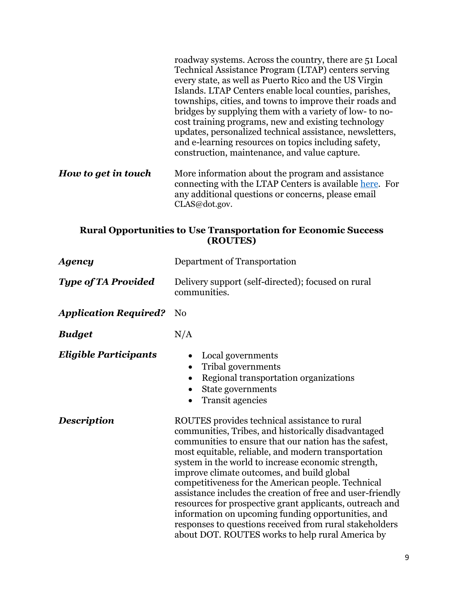|                     | roadway systems. Across the country, there are 51 Local<br>Technical Assistance Program (LTAP) centers serving<br>every state, as well as Puerto Rico and the US Virgin<br>Islands. LTAP Centers enable local counties, parishes,<br>townships, cities, and towns to improve their roads and<br>bridges by supplying them with a variety of low- to no-<br>cost training programs, new and existing technology<br>updates, personalized technical assistance, newsletters,<br>and e-learning resources on topics including safety,<br>construction, maintenance, and value capture. |
|---------------------|-------------------------------------------------------------------------------------------------------------------------------------------------------------------------------------------------------------------------------------------------------------------------------------------------------------------------------------------------------------------------------------------------------------------------------------------------------------------------------------------------------------------------------------------------------------------------------------|
| How to get in touch | More information about the program and assistance<br>connecting with the LTAP Centers is available here. For<br>any additional questions or concerns, please email<br>CLAS@dot.gov.                                                                                                                                                                                                                                                                                                                                                                                                 |

#### **Rural Opportunities to Use Transportation for Economic Success (ROUTES)**

| Agency                       | Department of Transportation                                                                                                                                                                                                                                                                                                                                                                                                                                                                                                                                                                                                                                                  |
|------------------------------|-------------------------------------------------------------------------------------------------------------------------------------------------------------------------------------------------------------------------------------------------------------------------------------------------------------------------------------------------------------------------------------------------------------------------------------------------------------------------------------------------------------------------------------------------------------------------------------------------------------------------------------------------------------------------------|
| <b>Type of TA Provided</b>   | Delivery support (self-directed); focused on rural<br>communities.                                                                                                                                                                                                                                                                                                                                                                                                                                                                                                                                                                                                            |
| <b>Application Required?</b> | N <sub>0</sub>                                                                                                                                                                                                                                                                                                                                                                                                                                                                                                                                                                                                                                                                |
| <b>Budget</b>                | N/A                                                                                                                                                                                                                                                                                                                                                                                                                                                                                                                                                                                                                                                                           |
| <b>Eligible Participants</b> | Local governments<br>Tribal governments<br>Regional transportation organizations<br>State governments<br><b>Transit agencies</b>                                                                                                                                                                                                                                                                                                                                                                                                                                                                                                                                              |
| <b>Description</b>           | ROUTES provides technical assistance to rural<br>communities, Tribes, and historically disadvantaged<br>communities to ensure that our nation has the safest,<br>most equitable, reliable, and modern transportation<br>system in the world to increase economic strength,<br>improve climate outcomes, and build global<br>competitiveness for the American people. Technical<br>assistance includes the creation of free and user-friendly<br>resources for prospective grant applicants, outreach and<br>information on upcoming funding opportunities, and<br>responses to questions received from rural stakeholders<br>about DOT. ROUTES works to help rural America by |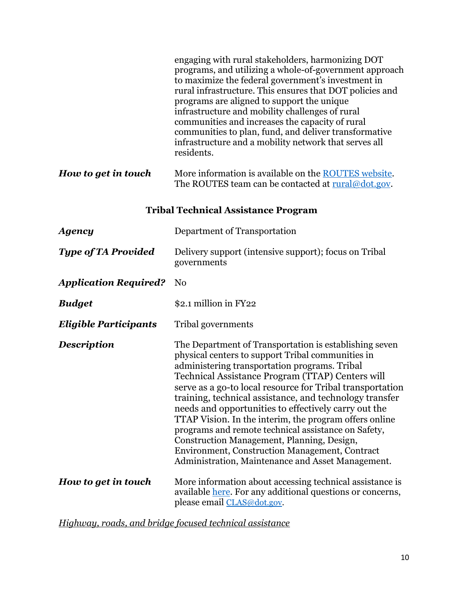|                                            | engaging with rural stakeholders, harmonizing DOT<br>programs, and utilizing a whole-of-government approach<br>to maximize the federal government's investment in<br>rural infrastructure. This ensures that DOT policies and<br>programs are aligned to support the unique<br>infrastructure and mobility challenges of rural<br>communities and increases the capacity of rural<br>communities to plan, fund, and deliver transformative<br>infrastructure and a mobility network that serves all<br>residents.                                                                                                                                                      |  |
|--------------------------------------------|------------------------------------------------------------------------------------------------------------------------------------------------------------------------------------------------------------------------------------------------------------------------------------------------------------------------------------------------------------------------------------------------------------------------------------------------------------------------------------------------------------------------------------------------------------------------------------------------------------------------------------------------------------------------|--|
| How to get in touch                        | More information is available on the ROUTES website.<br>The ROUTES team can be contacted at <u>rural@dot.gov</u> .                                                                                                                                                                                                                                                                                                                                                                                                                                                                                                                                                     |  |
| <b>Tribal Technical Assistance Program</b> |                                                                                                                                                                                                                                                                                                                                                                                                                                                                                                                                                                                                                                                                        |  |
| <b>Agency</b>                              | Department of Transportation                                                                                                                                                                                                                                                                                                                                                                                                                                                                                                                                                                                                                                           |  |
| <b>Type of TA Provided</b>                 | Delivery support (intensive support); focus on Tribal<br>governments                                                                                                                                                                                                                                                                                                                                                                                                                                                                                                                                                                                                   |  |
| <b>Application Required?</b>               | N <sub>0</sub>                                                                                                                                                                                                                                                                                                                                                                                                                                                                                                                                                                                                                                                         |  |
| <b>Budget</b>                              | \$2.1 million in FY22                                                                                                                                                                                                                                                                                                                                                                                                                                                                                                                                                                                                                                                  |  |
| <b>Eligible Participants</b>               | Tribal governments                                                                                                                                                                                                                                                                                                                                                                                                                                                                                                                                                                                                                                                     |  |
| <b>Description</b>                         | The Department of Transportation is establishing seven<br>physical centers to support Tribal communities in<br>administering transportation programs. Tribal<br>Technical Assistance Program (TTAP) Centers will<br>serve as a go-to local resource for Tribal transportation<br>training, technical assistance, and technology transfer<br>needs and opportunities to effectively carry out the<br>TTAP Vision. In the interim, the program offers online<br>programs and remote technical assistance on Safety,<br>Construction Management, Planning, Design,<br>Environment, Construction Management, Contract<br>Administration, Maintenance and Asset Management. |  |
| How to get in touch                        | More information about accessing technical assistance is<br>available <u>here</u> . For any additional questions or concerns,<br>please email CLAS@dot.gov.                                                                                                                                                                                                                                                                                                                                                                                                                                                                                                            |  |

*Highway, roads, and bridge focused technical assistance*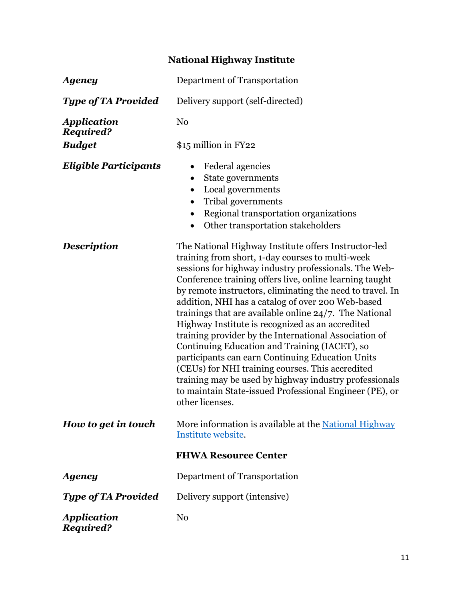### **National Highway Institute**

| <b>Agency</b>                          | Department of Transportation                                                                                                                                                                                                                                                                                                                                                                                                                                                                                                                                                                                                                                                                                                                                                                                           |
|----------------------------------------|------------------------------------------------------------------------------------------------------------------------------------------------------------------------------------------------------------------------------------------------------------------------------------------------------------------------------------------------------------------------------------------------------------------------------------------------------------------------------------------------------------------------------------------------------------------------------------------------------------------------------------------------------------------------------------------------------------------------------------------------------------------------------------------------------------------------|
| <b>Type of TA Provided</b>             | Delivery support (self-directed)                                                                                                                                                                                                                                                                                                                                                                                                                                                                                                                                                                                                                                                                                                                                                                                       |
| <b>Application</b><br><b>Required?</b> | N <sub>0</sub>                                                                                                                                                                                                                                                                                                                                                                                                                                                                                                                                                                                                                                                                                                                                                                                                         |
| <b>Budget</b>                          | \$15 million in FY22                                                                                                                                                                                                                                                                                                                                                                                                                                                                                                                                                                                                                                                                                                                                                                                                   |
| <b>Eligible Participants</b>           | Federal agencies<br>$\bullet$<br>State governments<br>$\bullet$<br>Local governments<br>$\bullet$<br>Tribal governments<br>$\bullet$<br>Regional transportation organizations<br>Other transportation stakeholders                                                                                                                                                                                                                                                                                                                                                                                                                                                                                                                                                                                                     |
| <b>Description</b>                     | The National Highway Institute offers Instructor-led<br>training from short, 1-day courses to multi-week<br>sessions for highway industry professionals. The Web-<br>Conference training offers live, online learning taught<br>by remote instructors, eliminating the need to travel. In<br>addition, NHI has a catalog of over 200 Web-based<br>trainings that are available online 24/7. The National<br>Highway Institute is recognized as an accredited<br>training provider by the International Association of<br>Continuing Education and Training (IACET), so<br>participants can earn Continuing Education Units<br>(CEUs) for NHI training courses. This accredited<br>training may be used by highway industry professionals<br>to maintain State-issued Professional Engineer (PE), or<br>other licenses. |
| How to get in touch                    | More information is available at the National Highway<br>Institute website.                                                                                                                                                                                                                                                                                                                                                                                                                                                                                                                                                                                                                                                                                                                                            |
|                                        | <b>FHWA Resource Center</b>                                                                                                                                                                                                                                                                                                                                                                                                                                                                                                                                                                                                                                                                                                                                                                                            |
| <b>Agency</b>                          | Department of Transportation                                                                                                                                                                                                                                                                                                                                                                                                                                                                                                                                                                                                                                                                                                                                                                                           |
| <b>Type of TA Provided</b>             | Delivery support (intensive)                                                                                                                                                                                                                                                                                                                                                                                                                                                                                                                                                                                                                                                                                                                                                                                           |
| <b>Application</b><br><b>Required?</b> | N <sub>0</sub>                                                                                                                                                                                                                                                                                                                                                                                                                                                                                                                                                                                                                                                                                                                                                                                                         |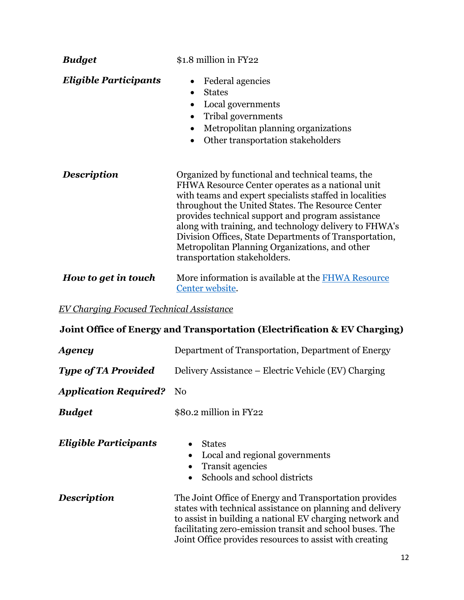| <b>Budget</b>                                   | \$1.8 million in FY22                                                                                                                                                                                                                                                                                                                                                                                                                                                           |
|-------------------------------------------------|---------------------------------------------------------------------------------------------------------------------------------------------------------------------------------------------------------------------------------------------------------------------------------------------------------------------------------------------------------------------------------------------------------------------------------------------------------------------------------|
| <b>Eligible Participants</b>                    | Federal agencies<br><b>States</b><br>$\bullet$<br>Local governments<br>$\bullet$<br>Tribal governments<br>Metropolitan planning organizations<br>Other transportation stakeholders                                                                                                                                                                                                                                                                                              |
| <b>Description</b>                              | Organized by functional and technical teams, the<br>FHWA Resource Center operates as a national unit<br>with teams and expert specialists staffed in localities<br>throughout the United States. The Resource Center<br>provides technical support and program assistance<br>along with training, and technology delivery to FHWA's<br>Division Offices, State Departments of Transportation,<br>Metropolitan Planning Organizations, and other<br>transportation stakeholders. |
| How to get in touch                             | More information is available at the FHWA Resource<br>Center website.                                                                                                                                                                                                                                                                                                                                                                                                           |
| <u>EV Charging Focused Technical Assistance</u> |                                                                                                                                                                                                                                                                                                                                                                                                                                                                                 |
|                                                 | Joint Office of Energy and Transportation (Electrification & EV Charging)                                                                                                                                                                                                                                                                                                                                                                                                       |
| Agency                                          | Department of Transportation, Department of Energy                                                                                                                                                                                                                                                                                                                                                                                                                              |

| <b>Type of TA Provided</b>   | Delivery Assistance – Electric Vehicle (EV) Charging                                                                                                                                                                                                                                                   |
|------------------------------|--------------------------------------------------------------------------------------------------------------------------------------------------------------------------------------------------------------------------------------------------------------------------------------------------------|
| Application Required?        | N <sub>0</sub>                                                                                                                                                                                                                                                                                         |
| <b>Budget</b>                | \$80.2 million in FY22                                                                                                                                                                                                                                                                                 |
| <b>Eligible Participants</b> | <b>States</b><br>$\bullet$<br>Local and regional governments<br>Transit agencies<br>Schools and school districts                                                                                                                                                                                       |
| <b>Description</b>           | The Joint Office of Energy and Transportation provides<br>states with technical assistance on planning and delivery<br>to assist in building a national EV charging network and<br>facilitating zero-emission transit and school buses. The<br>Joint Office provides resources to assist with creating |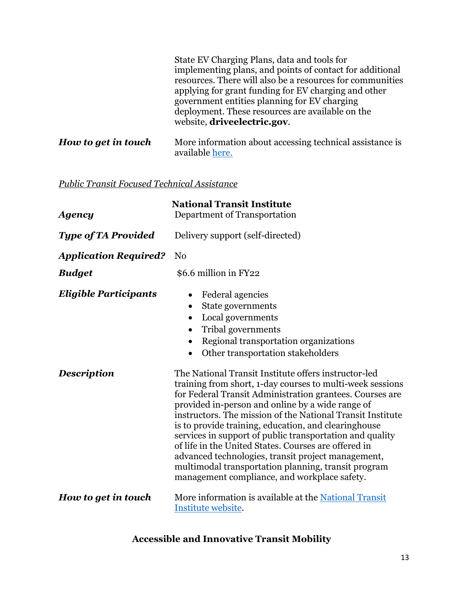|                     | State EV Charging Plans, data and tools for<br>implementing plans, and points of contact for additional<br>resources. There will also be a resources for communities<br>applying for grant funding for EV charging and other<br>government entities planning for EV charging<br>deployment. These resources are available on the<br>website, drive electric.gov. |
|---------------------|------------------------------------------------------------------------------------------------------------------------------------------------------------------------------------------------------------------------------------------------------------------------------------------------------------------------------------------------------------------|
| How to get in touch | More information about accessing technical assistance is<br>available here.                                                                                                                                                                                                                                                                                      |

#### *Public Transit Focused Technical Assistance*

| Agency                       | <b>National Transit Institute</b><br>Department of Transportation                                                                                                                                                                                                                                                                                                                                                                                                                                                                                                                                                                        |
|------------------------------|------------------------------------------------------------------------------------------------------------------------------------------------------------------------------------------------------------------------------------------------------------------------------------------------------------------------------------------------------------------------------------------------------------------------------------------------------------------------------------------------------------------------------------------------------------------------------------------------------------------------------------------|
| <b>Type of TA Provided</b>   | Delivery support (self-directed)                                                                                                                                                                                                                                                                                                                                                                                                                                                                                                                                                                                                         |
| <b>Application Required?</b> | N <sub>0</sub>                                                                                                                                                                                                                                                                                                                                                                                                                                                                                                                                                                                                                           |
| <b>Budget</b>                | \$6.6 million in FY22                                                                                                                                                                                                                                                                                                                                                                                                                                                                                                                                                                                                                    |
| <b>Eligible Participants</b> | Federal agencies<br>$\bullet$<br>State governments<br>Local governments<br>$\bullet$<br>Tribal governments<br>$\bullet$<br>Regional transportation organizations<br>Other transportation stakeholders<br>$\bullet$                                                                                                                                                                                                                                                                                                                                                                                                                       |
| <b>Description</b>           | The National Transit Institute offers instructor-led<br>training from short, 1-day courses to multi-week sessions<br>for Federal Transit Administration grantees. Courses are<br>provided in-person and online by a wide range of<br>instructors. The mission of the National Transit Institute<br>is to provide training, education, and clearinghouse<br>services in support of public transportation and quality<br>of life in the United States. Courses are offered in<br>advanced technologies, transit project management,<br>multimodal transportation planning, transit program<br>management compliance, and workplace safety. |
| How to get in touch          | More information is available at the National Transit<br>Institute website.                                                                                                                                                                                                                                                                                                                                                                                                                                                                                                                                                              |

### **Accessible and Innovative Transit Mobility**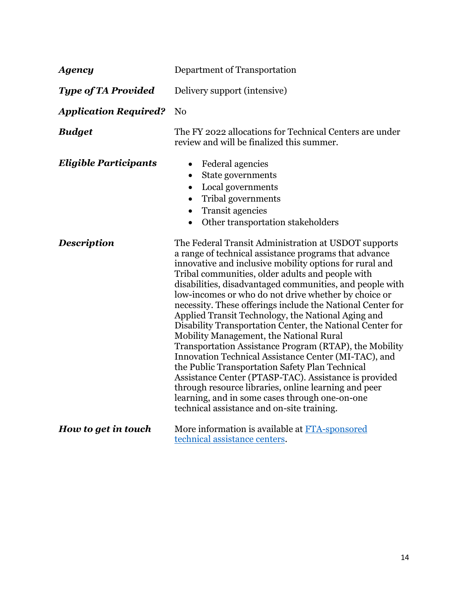| <b>Agency</b>                | Department of Transportation                                                                                                                                                                                                                                                                                                                                                                                                                                                                                                                                                                                                                                                                                                                                                                                                                                                                                                                                       |
|------------------------------|--------------------------------------------------------------------------------------------------------------------------------------------------------------------------------------------------------------------------------------------------------------------------------------------------------------------------------------------------------------------------------------------------------------------------------------------------------------------------------------------------------------------------------------------------------------------------------------------------------------------------------------------------------------------------------------------------------------------------------------------------------------------------------------------------------------------------------------------------------------------------------------------------------------------------------------------------------------------|
| <b>Type of TA Provided</b>   | Delivery support (intensive)                                                                                                                                                                                                                                                                                                                                                                                                                                                                                                                                                                                                                                                                                                                                                                                                                                                                                                                                       |
| <b>Application Required?</b> | N <sub>0</sub>                                                                                                                                                                                                                                                                                                                                                                                                                                                                                                                                                                                                                                                                                                                                                                                                                                                                                                                                                     |
| <b>Budget</b>                | The FY 2022 allocations for Technical Centers are under<br>review and will be finalized this summer.                                                                                                                                                                                                                                                                                                                                                                                                                                                                                                                                                                                                                                                                                                                                                                                                                                                               |
| <b>Eligible Participants</b> | Federal agencies<br>$\bullet$<br>State governments<br>٠<br>Local governments<br>$\bullet$<br>Tribal governments<br><b>Transit agencies</b><br>Other transportation stakeholders<br>$\bullet$                                                                                                                                                                                                                                                                                                                                                                                                                                                                                                                                                                                                                                                                                                                                                                       |
| <b>Description</b>           | The Federal Transit Administration at USDOT supports<br>a range of technical assistance programs that advance<br>innovative and inclusive mobility options for rural and<br>Tribal communities, older adults and people with<br>disabilities, disadvantaged communities, and people with<br>low-incomes or who do not drive whether by choice or<br>necessity. These offerings include the National Center for<br>Applied Transit Technology, the National Aging and<br>Disability Transportation Center, the National Center for<br>Mobility Management, the National Rural<br>Transportation Assistance Program (RTAP), the Mobility<br>Innovation Technical Assistance Center (MI-TAC), and<br>the Public Transportation Safety Plan Technical<br>Assistance Center (PTASP-TAC). Assistance is provided<br>through resource libraries, online learning and peer<br>learning, and in some cases through one-on-one<br>technical assistance and on-site training. |
| How to get in touch          | More information is available at FTA-sponsored<br>technical assistance centers.                                                                                                                                                                                                                                                                                                                                                                                                                                                                                                                                                                                                                                                                                                                                                                                                                                                                                    |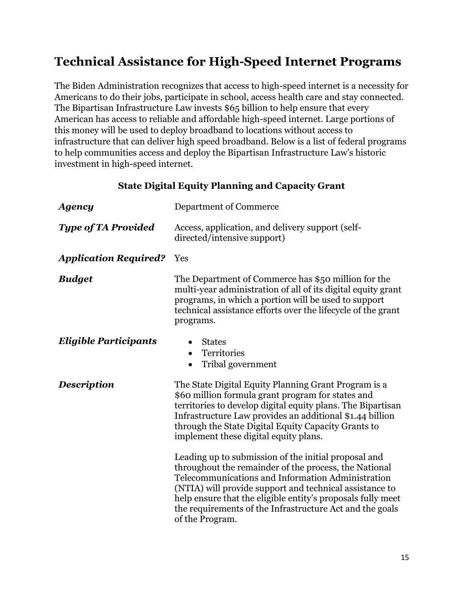# <span id="page-14-0"></span>**Technical Assistance for High-Speed Internet Programs**

The Biden Administration recognizes that access to high-speed internet is a necessity for Americans to do their jobs, participate in school, access health care and stay connected. The Bipartisan Infrastructure Law invests \$65 billion to help ensure that every American has access to reliable and affordable high-speed internet. Large portions of this money will be used to deploy broadband to locations without access to infrastructure that can deliver high speed broadband. Below is a list of federal programs to help communities access and deploy the Bipartisan Infrastructure Law's historic investment in high-speed internet.

#### **State Digital Equity Planning and Capacity Grant**

| Agency                       | Department of Commerce                                                                                                                                                                                                                                                                                                                                                      |
|------------------------------|-----------------------------------------------------------------------------------------------------------------------------------------------------------------------------------------------------------------------------------------------------------------------------------------------------------------------------------------------------------------------------|
| <b>Type of TA Provided</b>   | Access, application, and delivery support (self-<br>directed/intensive support)                                                                                                                                                                                                                                                                                             |
| <b>Application Required?</b> | Yes                                                                                                                                                                                                                                                                                                                                                                         |
| <b>Budget</b>                | The Department of Commerce has \$50 million for the<br>multi-year administration of all of its digital equity grant<br>programs, in which a portion will be used to support<br>technical assistance efforts over the lifecycle of the grant<br>programs.                                                                                                                    |
| <b>Eligible Participants</b> | <b>States</b><br>$\bullet$<br><b>Territories</b><br>Tribal government<br>$\bullet$                                                                                                                                                                                                                                                                                          |
| <b>Description</b>           | The State Digital Equity Planning Grant Program is a<br>\$60 million formula grant program for states and<br>territories to develop digital equity plans. The Bipartisan<br>Infrastructure Law provides an additional \$1.44 billion<br>through the State Digital Equity Capacity Grants to<br>implement these digital equity plans.                                        |
|                              | Leading up to submission of the initial proposal and<br>throughout the remainder of the process, the National<br>Telecommunications and Information Administration<br>(NTIA) will provide support and technical assistance to<br>help ensure that the eligible entity's proposals fully meet<br>the requirements of the Infrastructure Act and the goals<br>of the Program. |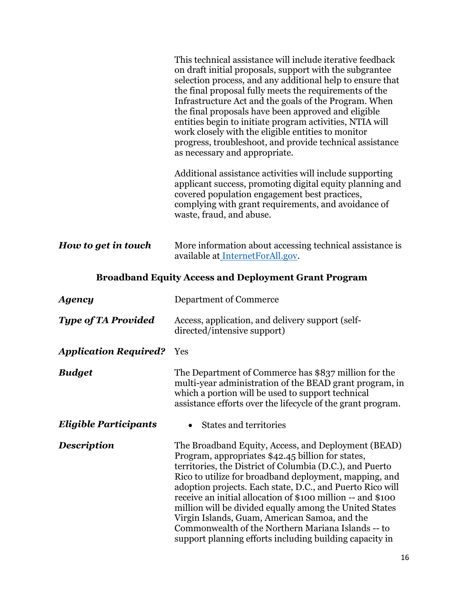|                     | This technical assistance will include iterative feedback<br>on draft initial proposals, support with the subgrantee<br>selection process, and any additional help to ensure that<br>the final proposal fully meets the requirements of the<br>Infrastructure Act and the goals of the Program. When<br>the final proposals have been approved and eligible<br>entities begin to initiate program activities, NTIA will<br>work closely with the eligible entities to monitor<br>progress, troubleshoot, and provide technical assistance<br>as necessary and appropriate. |
|---------------------|----------------------------------------------------------------------------------------------------------------------------------------------------------------------------------------------------------------------------------------------------------------------------------------------------------------------------------------------------------------------------------------------------------------------------------------------------------------------------------------------------------------------------------------------------------------------------|
|                     | Additional assistance activities will include supporting<br>applicant success, promoting digital equity planning and<br>covered population engagement best practices,<br>complying with grant requirements, and avoidance of<br>waste, fraud, and abuse.                                                                                                                                                                                                                                                                                                                   |
| How to get in touch | More information about accessing technical assistance is<br>available at InternetForAll.gov.                                                                                                                                                                                                                                                                                                                                                                                                                                                                               |

### **Broadband Equity Access and Deployment Grant Program**

| <b>Agency</b>                | Department of Commerce                                                                                                                                                                                                                                                                                                                                                                                                                                                                                                                                                                  |
|------------------------------|-----------------------------------------------------------------------------------------------------------------------------------------------------------------------------------------------------------------------------------------------------------------------------------------------------------------------------------------------------------------------------------------------------------------------------------------------------------------------------------------------------------------------------------------------------------------------------------------|
| <b>Type of TA Provided</b>   | Access, application, and delivery support (self-<br>directed/intensive support)                                                                                                                                                                                                                                                                                                                                                                                                                                                                                                         |
| <b>Application Required?</b> | Yes                                                                                                                                                                                                                                                                                                                                                                                                                                                                                                                                                                                     |
| <b>Budget</b>                | The Department of Commerce has \$837 million for the<br>multi-year administration of the BEAD grant program, in<br>which a portion will be used to support technical<br>assistance efforts over the lifecycle of the grant program.                                                                                                                                                                                                                                                                                                                                                     |
| <b>Eligible Participants</b> | States and territories                                                                                                                                                                                                                                                                                                                                                                                                                                                                                                                                                                  |
| <b>Description</b>           | The Broadband Equity, Access, and Deployment (BEAD)<br>Program, appropriates \$42.45 billion for states,<br>territories, the District of Columbia (D.C.), and Puerto<br>Rico to utilize for broadband deployment, mapping, and<br>adoption projects. Each state, D.C., and Puerto Rico will<br>receive an initial allocation of \$100 million -- and \$100<br>million will be divided equally among the United States<br>Virgin Islands, Guam, American Samoa, and the<br>Commonwealth of the Northern Mariana Islands -- to<br>support planning efforts including building capacity in |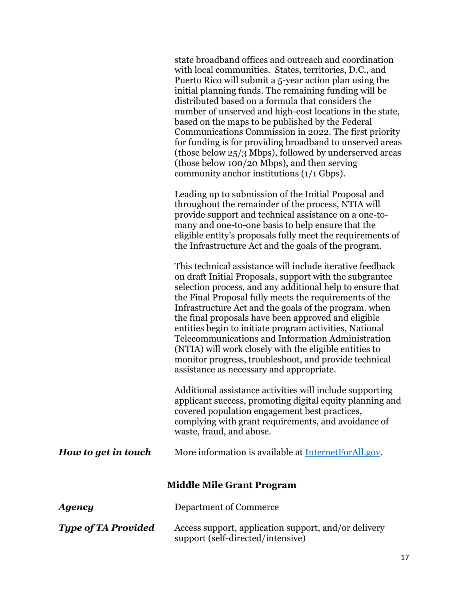|                            | state broadband offices and outreach and coordination<br>with local communities. States, territories, D.C., and<br>Puerto Rico will submit a 5-year action plan using the<br>initial planning funds. The remaining funding will be<br>distributed based on a formula that considers the<br>number of unserved and high-cost locations in the state,<br>based on the maps to be published by the Federal<br>Communications Commission in 2022. The first priority<br>for funding is for providing broadband to unserved areas<br>(those below 25/3 Mbps), followed by underserved areas<br>(those below 100/20 Mbps), and then serving<br>community anchor institutions $(1/1 \text{ Gbps})$ .<br>Leading up to submission of the Initial Proposal and |
|----------------------------|-------------------------------------------------------------------------------------------------------------------------------------------------------------------------------------------------------------------------------------------------------------------------------------------------------------------------------------------------------------------------------------------------------------------------------------------------------------------------------------------------------------------------------------------------------------------------------------------------------------------------------------------------------------------------------------------------------------------------------------------------------|
|                            | throughout the remainder of the process, NTIA will<br>provide support and technical assistance on a one-to-<br>many and one-to-one basis to help ensure that the<br>eligible entity's proposals fully meet the requirements of<br>the Infrastructure Act and the goals of the program.                                                                                                                                                                                                                                                                                                                                                                                                                                                                |
|                            | This technical assistance will include iterative feedback<br>on draft Initial Proposals, support with the subgrantee<br>selection process, and any additional help to ensure that<br>the Final Proposal fully meets the requirements of the<br>Infrastructure Act and the goals of the program. when<br>the final proposals have been approved and eligible<br>entities begin to initiate program activities, National<br>Telecommunications and Information Administration<br>(NTIA) will work closely with the eligible entities to<br>monitor progress, troubleshoot, and provide technical<br>assistance as necessary and appropriate.                                                                                                            |
|                            | Additional assistance activities will include supporting<br>applicant success, promoting digital equity planning and<br>covered population engagement best practices,<br>complying with grant requirements, and avoidance of<br>waste, fraud, and abuse.                                                                                                                                                                                                                                                                                                                                                                                                                                                                                              |
| How to get in touch        | More information is available at InternetForAll.gov.                                                                                                                                                                                                                                                                                                                                                                                                                                                                                                                                                                                                                                                                                                  |
|                            | <b>Middle Mile Grant Program</b>                                                                                                                                                                                                                                                                                                                                                                                                                                                                                                                                                                                                                                                                                                                      |
| <b>Agency</b>              | Department of Commerce                                                                                                                                                                                                                                                                                                                                                                                                                                                                                                                                                                                                                                                                                                                                |
| <b>Type of TA Provided</b> | Access support, application support, and/or delivery<br>support (self-directed/intensive)                                                                                                                                                                                                                                                                                                                                                                                                                                                                                                                                                                                                                                                             |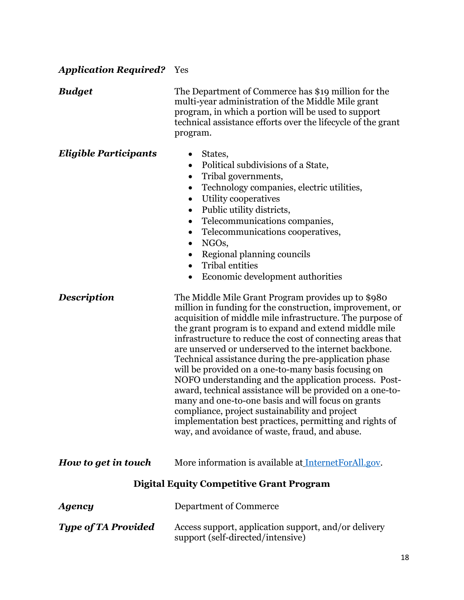| <b>Application Required?</b> Yes |                                                                                                                                                                                                                                                                                                                                                                                                                                                                                                                                                                                                                                                                                                                                                                                                                        |
|----------------------------------|------------------------------------------------------------------------------------------------------------------------------------------------------------------------------------------------------------------------------------------------------------------------------------------------------------------------------------------------------------------------------------------------------------------------------------------------------------------------------------------------------------------------------------------------------------------------------------------------------------------------------------------------------------------------------------------------------------------------------------------------------------------------------------------------------------------------|
| <b>Budget</b>                    | The Department of Commerce has \$19 million for the<br>multi-year administration of the Middle Mile grant<br>program, in which a portion will be used to support<br>technical assistance efforts over the lifecycle of the grant<br>program.                                                                                                                                                                                                                                                                                                                                                                                                                                                                                                                                                                           |
| <b>Eligible Participants</b>     | States,<br>Political subdivisions of a State,<br>$\bullet$<br>Tribal governments,<br>$\bullet$<br>Technology companies, electric utilities,<br>$\bullet$<br>Utility cooperatives<br>Public utility districts,<br>Telecommunications companies,<br>Telecommunications cooperatives,<br>$\bullet$<br>NGO <sub>s</sub> ,<br>Regional planning councils<br>Tribal entities<br>$\bullet$<br>Economic development authorities<br>$\bullet$                                                                                                                                                                                                                                                                                                                                                                                   |
| <b>Description</b>               | The Middle Mile Grant Program provides up to \$980<br>million in funding for the construction, improvement, or<br>acquisition of middle mile infrastructure. The purpose of<br>the grant program is to expand and extend middle mile<br>infrastructure to reduce the cost of connecting areas that<br>are unserved or underserved to the internet backbone.<br>Technical assistance during the pre-application phase<br>will be provided on a one-to-many basis focusing on<br>NOFO understanding and the application process. Post-<br>award, technical assistance will be provided on a one-to-<br>many and one-to-one basis and will focus on grants<br>compliance, project sustainability and project<br>implementation best practices, permitting and rights of<br>way, and avoidance of waste, fraud, and abuse. |
| How to get in touch              | More information is available at InternetForAll.gov.                                                                                                                                                                                                                                                                                                                                                                                                                                                                                                                                                                                                                                                                                                                                                                   |
|                                  | <b>Digital Equity Competitive Grant Program</b>                                                                                                                                                                                                                                                                                                                                                                                                                                                                                                                                                                                                                                                                                                                                                                        |
| Agency                           | Department of Commerce                                                                                                                                                                                                                                                                                                                                                                                                                                                                                                                                                                                                                                                                                                                                                                                                 |
| <b>Type of TA Provided</b>       | Access support, application support, and/or delivery<br>support (self-directed/intensive)                                                                                                                                                                                                                                                                                                                                                                                                                                                                                                                                                                                                                                                                                                                              |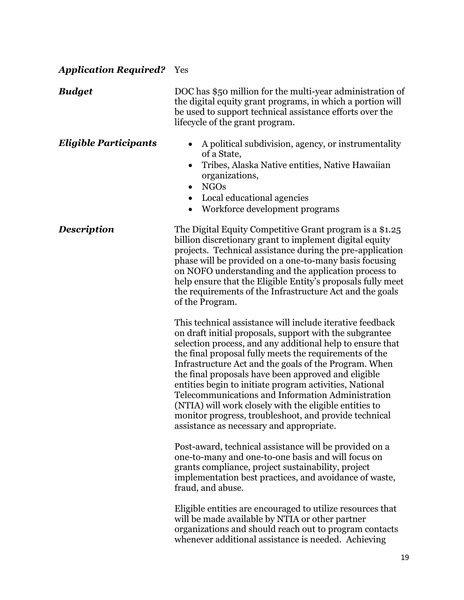| <b>Budget</b>                | DOC has \$50 million for the multi-year administration of<br>the digital equity grant programs, in which a portion will<br>be used to support technical assistance efforts over the<br>lifecycle of the grant program.                                                                                                                                                                                                                                                                                                                                                                                                                     |
|------------------------------|--------------------------------------------------------------------------------------------------------------------------------------------------------------------------------------------------------------------------------------------------------------------------------------------------------------------------------------------------------------------------------------------------------------------------------------------------------------------------------------------------------------------------------------------------------------------------------------------------------------------------------------------|
| <b>Eligible Participants</b> | A political subdivision, agency, or instrumentality<br>of a State,<br>Tribes, Alaska Native entities, Native Hawaiian<br>organizations,<br><b>NGOs</b><br>$\bullet$<br>Local educational agencies<br>Workforce development programs                                                                                                                                                                                                                                                                                                                                                                                                        |
| <b>Description</b>           | The Digital Equity Competitive Grant program is a \$1.25<br>billion discretionary grant to implement digital equity<br>projects. Technical assistance during the pre-application<br>phase will be provided on a one-to-many basis focusing<br>on NOFO understanding and the application process to<br>help ensure that the Eligible Entity's proposals fully meet<br>the requirements of the Infrastructure Act and the goals<br>of the Program.                                                                                                                                                                                           |
|                              | This technical assistance will include iterative feedback<br>on draft initial proposals, support with the subgrantee<br>selection process, and any additional help to ensure that<br>the final proposal fully meets the requirements of the<br>Infrastructure Act and the goals of the Program. When<br>the final proposals have been approved and eligible<br>entities begin to initiate program activities, National<br>Telecommunications and Information Administration<br>(NTIA) will work closely with the eligible entities to<br>monitor progress, troubleshoot, and provide technical<br>assistance as necessary and appropriate. |
|                              | Post-award, technical assistance will be provided on a<br>one-to-many and one-to-one basis and will focus on<br>grants compliance, project sustainability, project<br>implementation best practices, and avoidance of waste,<br>fraud, and abuse.                                                                                                                                                                                                                                                                                                                                                                                          |
|                              | Eligible entities are encouraged to utilize resources that<br>will be made available by NTIA or other partner<br>organizations and should reach out to program contacts<br>whenever additional assistance is needed. Achieving                                                                                                                                                                                                                                                                                                                                                                                                             |

*Application Required?* Yes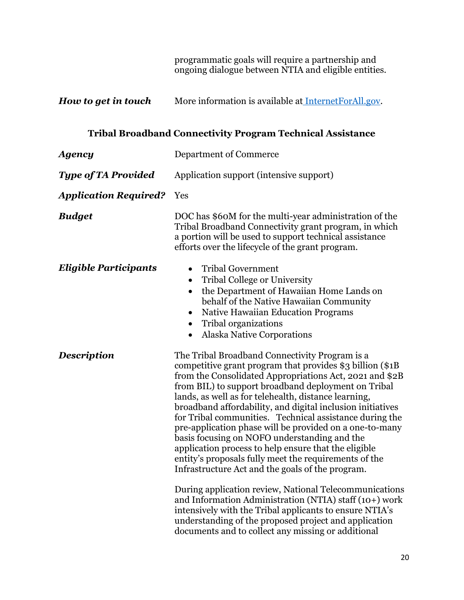|                              | programmatic goals will require a partnership and<br>ongoing dialogue between NTIA and eligible entities.                                                                                                                                                                                                                                                                                                                                                                                                                                                                                                                                                                                                                                                                                                                                                                                                                                                                                     |
|------------------------------|-----------------------------------------------------------------------------------------------------------------------------------------------------------------------------------------------------------------------------------------------------------------------------------------------------------------------------------------------------------------------------------------------------------------------------------------------------------------------------------------------------------------------------------------------------------------------------------------------------------------------------------------------------------------------------------------------------------------------------------------------------------------------------------------------------------------------------------------------------------------------------------------------------------------------------------------------------------------------------------------------|
| How to get in touch          | More information is available at InternetForAll.gov.                                                                                                                                                                                                                                                                                                                                                                                                                                                                                                                                                                                                                                                                                                                                                                                                                                                                                                                                          |
|                              | <b>Tribal Broadband Connectivity Program Technical Assistance</b>                                                                                                                                                                                                                                                                                                                                                                                                                                                                                                                                                                                                                                                                                                                                                                                                                                                                                                                             |
| Agency                       | <b>Department of Commerce</b>                                                                                                                                                                                                                                                                                                                                                                                                                                                                                                                                                                                                                                                                                                                                                                                                                                                                                                                                                                 |
| <b>Type of TA Provided</b>   | Application support (intensive support)                                                                                                                                                                                                                                                                                                                                                                                                                                                                                                                                                                                                                                                                                                                                                                                                                                                                                                                                                       |
| <b>Application Required?</b> | Yes                                                                                                                                                                                                                                                                                                                                                                                                                                                                                                                                                                                                                                                                                                                                                                                                                                                                                                                                                                                           |
| <b>Budget</b>                | DOC has \$60M for the multi-year administration of the<br>Tribal Broadband Connectivity grant program, in which<br>a portion will be used to support technical assistance<br>efforts over the lifecycle of the grant program.                                                                                                                                                                                                                                                                                                                                                                                                                                                                                                                                                                                                                                                                                                                                                                 |
| <b>Eligible Participants</b> | <b>Tribal Government</b><br>$\bullet$<br>Tribal College or University<br>$\bullet$<br>the Department of Hawaiian Home Lands on<br>$\bullet$<br>behalf of the Native Hawaiian Community<br><b>Native Hawaiian Education Programs</b><br>$\bullet$<br>Tribal organizations<br>$\bullet$<br><b>Alaska Native Corporations</b><br>$\bullet$                                                                                                                                                                                                                                                                                                                                                                                                                                                                                                                                                                                                                                                       |
| <b>Description</b>           | The Tribal Broadband Connectivity Program is a<br>competitive grant program that provides \$3 billion (\$1B)<br>from the Consolidated Appropriations Act, 2021 and \$2B<br>from BIL) to support broadband deployment on Tribal<br>lands, as well as for telehealth, distance learning,<br>broadband affordability, and digital inclusion initiatives<br>for Tribal communities. Technical assistance during the<br>pre-application phase will be provided on a one-to-many<br>basis focusing on NOFO understanding and the<br>application process to help ensure that the eligible<br>entity's proposals fully meet the requirements of the<br>Infrastructure Act and the goals of the program.<br>During application review, National Telecommunications<br>and Information Administration (NTIA) staff (10+) work<br>intensively with the Tribal applicants to ensure NTIA's<br>understanding of the proposed project and application<br>documents and to collect any missing or additional |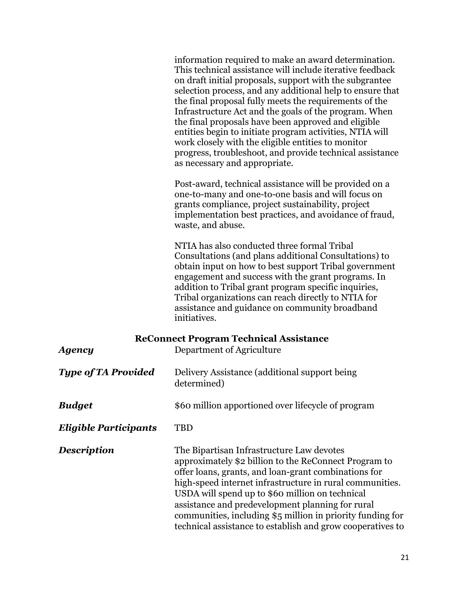information required to make an award determination. This technical assistance will include iterative feedback on draft initial proposals, support with the subgrantee selection process, and any additional help to ensure that the final proposal fully meets the requirements of the Infrastructure Act and the goals of the program. When the final proposals have been approved and eligible entities begin to initiate program activities, NTIA will work closely with the eligible entities to monitor progress, troubleshoot, and provide technical assistance as necessary and appropriate.

Post-award, technical assistance will be provided on a one-to-many and one-to-one basis and will focus on grants compliance, project sustainability, project implementation best practices, and avoidance of fraud, waste, and abuse.

NTIA has also conducted three formal Tribal Consultations (and plans additional Consultations) to obtain input on how to best support Tribal government engagement and success with the grant programs. In addition to Tribal grant program specific inquiries, Tribal organizations can reach directly to NTIA for assistance and guidance on community broadband initiatives.

| <b>ReConnect Program Technical Assistance</b> |                                                                                                                                                                                                                                                                                                                                                                                                                                                           |
|-----------------------------------------------|-----------------------------------------------------------------------------------------------------------------------------------------------------------------------------------------------------------------------------------------------------------------------------------------------------------------------------------------------------------------------------------------------------------------------------------------------------------|
| <b>Agency</b>                                 | Department of Agriculture                                                                                                                                                                                                                                                                                                                                                                                                                                 |
| <b>Type of TA Provided</b>                    | Delivery Assistance (additional support being)<br>determined)                                                                                                                                                                                                                                                                                                                                                                                             |
| <b>Budget</b>                                 | \$60 million apportioned over lifecycle of program                                                                                                                                                                                                                                                                                                                                                                                                        |
| <b>Eligible Participants</b>                  | <b>TBD</b>                                                                                                                                                                                                                                                                                                                                                                                                                                                |
| <b>Description</b>                            | The Bipartisan Infrastructure Law devotes<br>approximately \$2 billion to the ReConnect Program to<br>offer loans, grants, and loan-grant combinations for<br>high-speed internet infrastructure in rural communities.<br>USDA will spend up to \$60 million on technical<br>assistance and predevelopment planning for rural<br>communities, including \$5 million in priority funding for<br>technical assistance to establish and grow cooperatives to |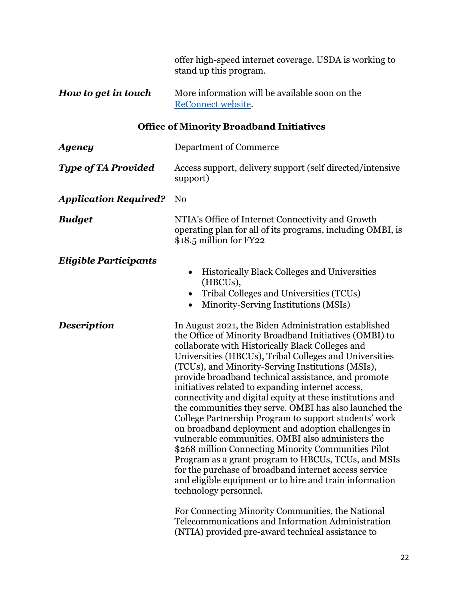|                              | offer high-speed internet coverage. USDA is working to<br>stand up this program.                                                                                                                                                                                                                                                                                                                                                                                                                                                                                                                                                                                                                                                                                                                                                                                                                                                                                                                                                                                                                                   |
|------------------------------|--------------------------------------------------------------------------------------------------------------------------------------------------------------------------------------------------------------------------------------------------------------------------------------------------------------------------------------------------------------------------------------------------------------------------------------------------------------------------------------------------------------------------------------------------------------------------------------------------------------------------------------------------------------------------------------------------------------------------------------------------------------------------------------------------------------------------------------------------------------------------------------------------------------------------------------------------------------------------------------------------------------------------------------------------------------------------------------------------------------------|
| How to get in touch          | More information will be available soon on the<br>ReConnect website.                                                                                                                                                                                                                                                                                                                                                                                                                                                                                                                                                                                                                                                                                                                                                                                                                                                                                                                                                                                                                                               |
|                              | <b>Office of Minority Broadband Initiatives</b>                                                                                                                                                                                                                                                                                                                                                                                                                                                                                                                                                                                                                                                                                                                                                                                                                                                                                                                                                                                                                                                                    |
| <b>Agency</b>                | Department of Commerce                                                                                                                                                                                                                                                                                                                                                                                                                                                                                                                                                                                                                                                                                                                                                                                                                                                                                                                                                                                                                                                                                             |
| <b>Type of TA Provided</b>   | Access support, delivery support (self directed/intensive<br>support)                                                                                                                                                                                                                                                                                                                                                                                                                                                                                                                                                                                                                                                                                                                                                                                                                                                                                                                                                                                                                                              |
| <b>Application Required?</b> | N <sub>0</sub>                                                                                                                                                                                                                                                                                                                                                                                                                                                                                                                                                                                                                                                                                                                                                                                                                                                                                                                                                                                                                                                                                                     |
| <b>Budget</b>                | NTIA's Office of Internet Connectivity and Growth<br>operating plan for all of its programs, including OMBI, is<br>$$18.5$ million for FY22                                                                                                                                                                                                                                                                                                                                                                                                                                                                                                                                                                                                                                                                                                                                                                                                                                                                                                                                                                        |
| <b>Eligible Participants</b> | <b>Historically Black Colleges and Universities</b><br>(HBCUs),<br>Tribal Colleges and Universities (TCUs)<br>Minority-Serving Institutions (MSIs)<br>$\bullet$                                                                                                                                                                                                                                                                                                                                                                                                                                                                                                                                                                                                                                                                                                                                                                                                                                                                                                                                                    |
| <b>Description</b>           | In August 2021, the Biden Administration established<br>the Office of Minority Broadband Initiatives (OMBI) to<br>collaborate with Historically Black Colleges and<br>Universities (HBCUs), Tribal Colleges and Universities<br>(TCUs), and Minority-Serving Institutions (MSIs),<br>provide broadband technical assistance, and promote<br>initiatives related to expanding internet access,<br>connectivity and digital equity at these institutions and<br>the communities they serve. OMBI has also launched the<br>College Partnership Program to support students' work<br>on broadband deployment and adoption challenges in<br>vulnerable communities. OMBI also administers the<br>\$268 million Connecting Minority Communities Pilot<br>Program as a grant program to HBCUs, TCUs, and MSIs<br>for the purchase of broadband internet access service<br>and eligible equipment or to hire and train information<br>technology personnel.<br>For Connecting Minority Communities, the National<br>Telecommunications and Information Administration<br>(NTIA) provided pre-award technical assistance to |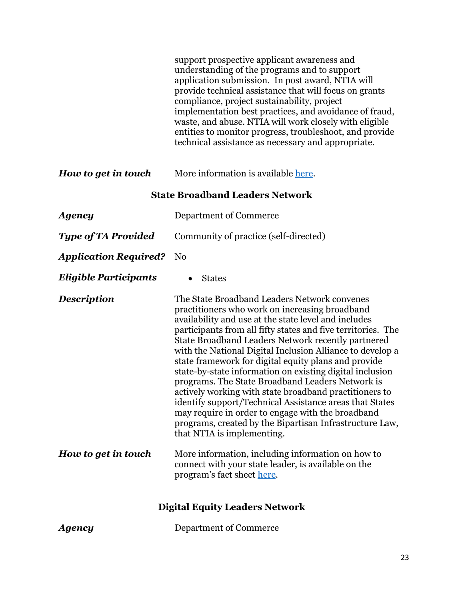|                                        | support prospective applicant awareness and<br>understanding of the programs and to support<br>application submission. In post award, NTIA will<br>provide technical assistance that will focus on grants<br>compliance, project sustainability, project<br>implementation best practices, and avoidance of fraud,<br>waste, and abuse. NTIA will work closely with eligible<br>entities to monitor progress, troubleshoot, and provide<br>technical assistance as necessary and appropriate.                                                                                                                                                                                                                                                                                        |  |
|----------------------------------------|--------------------------------------------------------------------------------------------------------------------------------------------------------------------------------------------------------------------------------------------------------------------------------------------------------------------------------------------------------------------------------------------------------------------------------------------------------------------------------------------------------------------------------------------------------------------------------------------------------------------------------------------------------------------------------------------------------------------------------------------------------------------------------------|--|
| How to get in touch                    | More information is available here.                                                                                                                                                                                                                                                                                                                                                                                                                                                                                                                                                                                                                                                                                                                                                  |  |
| <b>State Broadband Leaders Network</b> |                                                                                                                                                                                                                                                                                                                                                                                                                                                                                                                                                                                                                                                                                                                                                                                      |  |
| <b>Agency</b>                          | Department of Commerce                                                                                                                                                                                                                                                                                                                                                                                                                                                                                                                                                                                                                                                                                                                                                               |  |
| <b>Type of TA Provided</b>             | Community of practice (self-directed)                                                                                                                                                                                                                                                                                                                                                                                                                                                                                                                                                                                                                                                                                                                                                |  |
| <b>Application Required?</b>           | N <sub>0</sub>                                                                                                                                                                                                                                                                                                                                                                                                                                                                                                                                                                                                                                                                                                                                                                       |  |
| <b>Eligible Participants</b>           | <b>States</b>                                                                                                                                                                                                                                                                                                                                                                                                                                                                                                                                                                                                                                                                                                                                                                        |  |
| <b>Description</b>                     | The State Broadband Leaders Network convenes<br>practitioners who work on increasing broadband<br>availability and use at the state level and includes<br>participants from all fifty states and five territories. The<br>State Broadband Leaders Network recently partnered<br>with the National Digital Inclusion Alliance to develop a<br>state framework for digital equity plans and provide<br>state-by-state information on existing digital inclusion<br>programs. The State Broadband Leaders Network is<br>actively working with state broadband practitioners to<br>identify support/Technical Assistance areas that States<br>may require in order to engage with the broadband<br>programs, created by the Bipartisan Infrastructure Law,<br>that NTIA is implementing. |  |
| How to get in touch                    | More information, including information on how to<br>connect with your state leader, is available on the<br>program's fact sheet here.                                                                                                                                                                                                                                                                                                                                                                                                                                                                                                                                                                                                                                               |  |
| <b>Digital Equity Leaders Network</b>  |                                                                                                                                                                                                                                                                                                                                                                                                                                                                                                                                                                                                                                                                                                                                                                                      |  |
| <b>Agency</b>                          | <b>Department of Commerce</b>                                                                                                                                                                                                                                                                                                                                                                                                                                                                                                                                                                                                                                                                                                                                                        |  |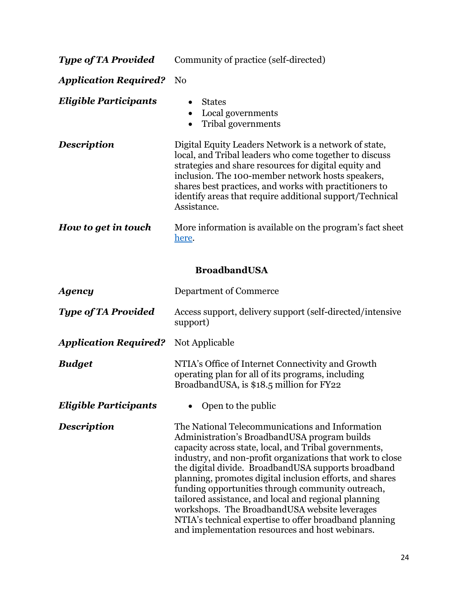| <b>Type of TA Provided</b>   | Community of practice (self-directed)                                                                                                                                                                                                                                                                                                                              |
|------------------------------|--------------------------------------------------------------------------------------------------------------------------------------------------------------------------------------------------------------------------------------------------------------------------------------------------------------------------------------------------------------------|
| <b>Application Required?</b> | N <sub>0</sub>                                                                                                                                                                                                                                                                                                                                                     |
| <b>Eligible Participants</b> | <b>States</b><br>Local governments<br><b>Tribal governments</b><br>$\bullet$                                                                                                                                                                                                                                                                                       |
| <b>Description</b>           | Digital Equity Leaders Network is a network of state,<br>local, and Tribal leaders who come together to discuss<br>strategies and share resources for digital equity and<br>inclusion. The 100-member network hosts speakers,<br>shares best practices, and works with practitioners to<br>identify areas that require additional support/Technical<br>Assistance. |
| How to get in touch          | More information is available on the program's fact sheet<br>here.                                                                                                                                                                                                                                                                                                 |

**BroadbandUSA**

| Agency                                      | Department of Commerce                                                                                                                                                                                                                                                                                                                                                                                                                                                                                                                                                                                              |
|---------------------------------------------|---------------------------------------------------------------------------------------------------------------------------------------------------------------------------------------------------------------------------------------------------------------------------------------------------------------------------------------------------------------------------------------------------------------------------------------------------------------------------------------------------------------------------------------------------------------------------------------------------------------------|
| <b>Type of TA Provided</b>                  | Access support, delivery support (self-directed/intensive<br>support)                                                                                                                                                                                                                                                                                                                                                                                                                                                                                                                                               |
| <b>Application Required?</b> Not Applicable |                                                                                                                                                                                                                                                                                                                                                                                                                                                                                                                                                                                                                     |
| <b>Budget</b>                               | NTIA's Office of Internet Connectivity and Growth<br>operating plan for all of its programs, including<br>BroadbandUSA, is \$18.5 million for FY22                                                                                                                                                                                                                                                                                                                                                                                                                                                                  |
| <b>Eligible Participants</b>                | Open to the public                                                                                                                                                                                                                                                                                                                                                                                                                                                                                                                                                                                                  |
| <b>Description</b>                          | The National Telecommunications and Information<br>Administration's BroadbandUSA program builds<br>capacity across state, local, and Tribal governments,<br>industry, and non-profit organizations that work to close<br>the digital divide. BroadbandUSA supports broadband<br>planning, promotes digital inclusion efforts, and shares<br>funding opportunities through community outreach,<br>tailored assistance, and local and regional planning<br>workshops. The BroadbandUSA website leverages<br>NTIA's technical expertise to offer broadband planning<br>and implementation resources and host webinars. |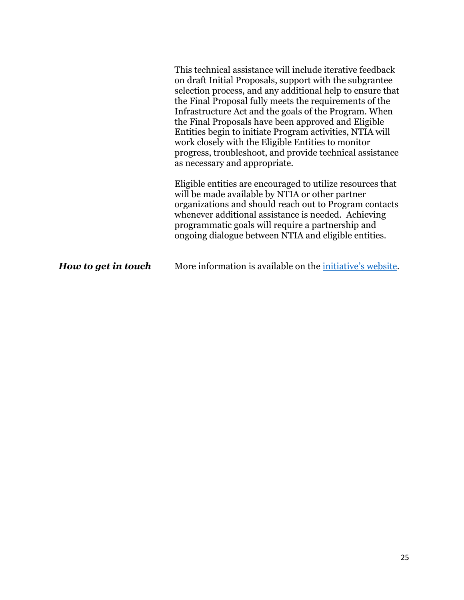This technical assistance will include iterative feedback on draft Initial Proposals, support with the subgrantee selection process, and any additional help to ensure that the Final Proposal fully meets the requirements of the Infrastructure Act and the goals of the Program. When the Final Proposals have been approved and Eligible Entities begin to initiate Program activities, NTIA will work closely with the Eligible Entities to monitor progress, troubleshoot, and provide technical assistance as necessary and appropriate.

Eligible entities are encouraged to utilize resources that will be made available by NTIA or other partner organizations and should reach out to Program contacts whenever additional assistance is needed. Achieving programmatic goals will require a partnership and ongoing dialogue between NTIA and eligible entities.

*How to get in touch* More information is available on the *[initiative's website](https://broadbandusa.ntia.doc.gov/resources/publications)*.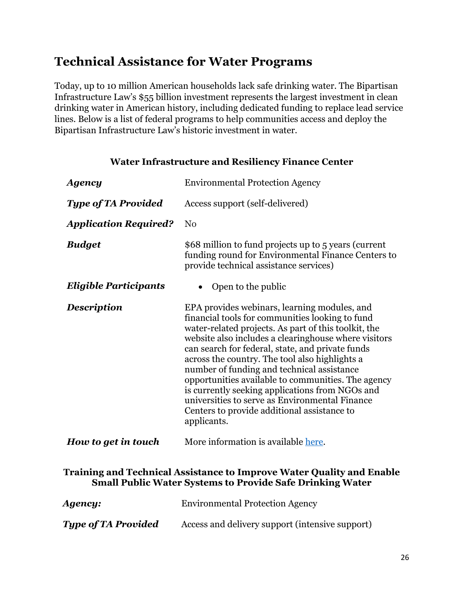### <span id="page-25-0"></span>**Technical Assistance for Water Programs**

Today, up to 10 million American households lack safe drinking water. The Bipartisan Infrastructure Law's \$55 billion investment represents the largest investment in clean drinking water in American history, including dedicated funding to replace lead service lines. Below is a list of federal programs to help communities access and deploy the Bipartisan Infrastructure Law's historic investment in water.

| <b>Agency</b>                | <b>Environmental Protection Agency</b>                                                                                                                                                                                                                                                                                                                                                                                                                                                                                                                                                       |
|------------------------------|----------------------------------------------------------------------------------------------------------------------------------------------------------------------------------------------------------------------------------------------------------------------------------------------------------------------------------------------------------------------------------------------------------------------------------------------------------------------------------------------------------------------------------------------------------------------------------------------|
| <b>Type of TA Provided</b>   | Access support (self-delivered)                                                                                                                                                                                                                                                                                                                                                                                                                                                                                                                                                              |
| <b>Application Required?</b> | N <sub>0</sub>                                                                                                                                                                                                                                                                                                                                                                                                                                                                                                                                                                               |
| <b>Budget</b>                | \$68 million to fund projects up to 5 years (current<br>funding round for Environmental Finance Centers to<br>provide technical assistance services)                                                                                                                                                                                                                                                                                                                                                                                                                                         |
| <b>Eligible Participants</b> | Open to the public                                                                                                                                                                                                                                                                                                                                                                                                                                                                                                                                                                           |
| <b>Description</b>           | EPA provides webinars, learning modules, and<br>financial tools for communities looking to fund<br>water-related projects. As part of this toolkit, the<br>website also includes a clearinghouse where visitors<br>can search for federal, state, and private funds<br>across the country. The tool also highlights a<br>number of funding and technical assistance<br>opportunities available to communities. The agency<br>is currently seeking applications from NGOs and<br>universities to serve as Environmental Finance<br>Centers to provide additional assistance to<br>applicants. |
| How to get in touch          | More information is available here.                                                                                                                                                                                                                                                                                                                                                                                                                                                                                                                                                          |

#### **Water Infrastructure and Resiliency Finance Center**

#### **Training and Technical Assistance to Improve Water Quality and Enable Small Public Water Systems to Provide Safe Drinking Water**

| Agency:                    | <b>Environmental Protection Agency</b>          |
|----------------------------|-------------------------------------------------|
| <b>Type of TA Provided</b> | Access and delivery support (intensive support) |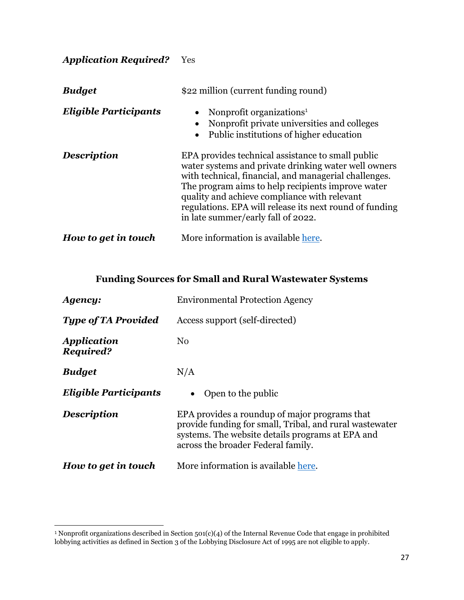### *Application Required?* Yes

 $\overline{\phantom{a}}$ 

| <b>Budget</b>                | \$22 million (current funding round)                                                                                                                                                                                                                                                                                                                                     |
|------------------------------|--------------------------------------------------------------------------------------------------------------------------------------------------------------------------------------------------------------------------------------------------------------------------------------------------------------------------------------------------------------------------|
| <b>Eligible Participants</b> | Nonprofit organizations <sup>1</sup><br>Nonprofit private universities and colleges<br>$\bullet$<br>Public institutions of higher education<br>$\bullet$                                                                                                                                                                                                                 |
| <b>Description</b>           | EPA provides technical assistance to small public<br>water systems and private drinking water well owners<br>with technical, financial, and managerial challenges.<br>The program aims to help recipients improve water<br>quality and achieve compliance with relevant<br>regulations. EPA will release its next round of funding<br>in late summer/early fall of 2022. |
| How to get in touch          | More information is available here.                                                                                                                                                                                                                                                                                                                                      |

### **Funding Sources for Small and Rural Wastewater Systems**

| Agency:                                       | <b>Environmental Protection Agency</b>                                                                                                                                                             |
|-----------------------------------------------|----------------------------------------------------------------------------------------------------------------------------------------------------------------------------------------------------|
| <b>Type of TA Provided</b>                    | Access support (self-directed)                                                                                                                                                                     |
| <i><b>Application</b></i><br><b>Required?</b> | N <sub>0</sub>                                                                                                                                                                                     |
| <b>Budget</b>                                 | N/A                                                                                                                                                                                                |
| <b>Eligible Participants</b>                  | Open to the public                                                                                                                                                                                 |
| <b>Description</b>                            | EPA provides a roundup of major programs that<br>provide funding for small, Tribal, and rural wastewater<br>systems. The website details programs at EPA and<br>across the broader Federal family. |
| How to get in touch                           | More information is available here.                                                                                                                                                                |

<sup>1</sup> Nonprofit organizations described in Section 501(c)(4) of the Internal Revenue Code that engage in prohibited lobbying activities as defined in Section 3 of the Lobbying Disclosure Act of 1995 are not eligible to apply.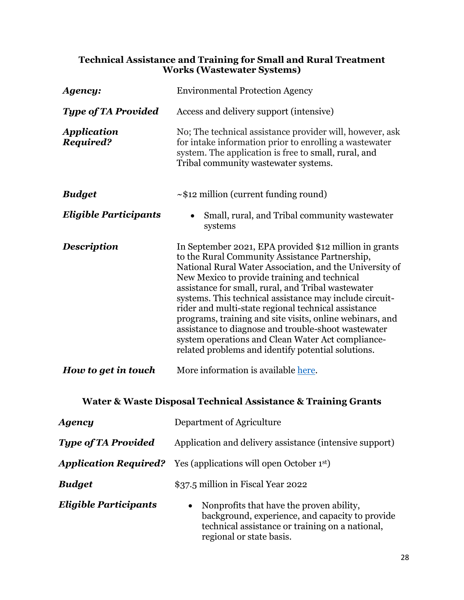| 0.18                                   |                                                                                                                                                                                                                                                                                                                                                                                                                                                                                                                                                                                                                            |
|----------------------------------------|----------------------------------------------------------------------------------------------------------------------------------------------------------------------------------------------------------------------------------------------------------------------------------------------------------------------------------------------------------------------------------------------------------------------------------------------------------------------------------------------------------------------------------------------------------------------------------------------------------------------------|
| Agency:                                | <b>Environmental Protection Agency</b>                                                                                                                                                                                                                                                                                                                                                                                                                                                                                                                                                                                     |
| <b>Type of TA Provided</b>             | Access and delivery support (intensive)                                                                                                                                                                                                                                                                                                                                                                                                                                                                                                                                                                                    |
| <b>Application</b><br><b>Required?</b> | No; The technical assistance provider will, however, ask<br>for intake information prior to enrolling a wastewater<br>system. The application is free to small, rural, and<br>Tribal community wastewater systems.                                                                                                                                                                                                                                                                                                                                                                                                         |
| <b>Budget</b>                          | $\sim$ \$12 million (current funding round)                                                                                                                                                                                                                                                                                                                                                                                                                                                                                                                                                                                |
| <b>Eligible Participants</b>           | Small, rural, and Tribal community wastewater<br>systems                                                                                                                                                                                                                                                                                                                                                                                                                                                                                                                                                                   |
| <b>Description</b>                     | In September 2021, EPA provided \$12 million in grants<br>to the Rural Community Assistance Partnership,<br>National Rural Water Association, and the University of<br>New Mexico to provide training and technical<br>assistance for small, rural, and Tribal wastewater<br>systems. This technical assistance may include circuit-<br>rider and multi-state regional technical assistance<br>programs, training and site visits, online webinars, and<br>assistance to diagnose and trouble-shoot was tewater<br>system operations and Clean Water Act compliance-<br>related problems and identify potential solutions. |
| How to get in touch                    | More information is available here.                                                                                                                                                                                                                                                                                                                                                                                                                                                                                                                                                                                        |

#### **Technical Assistance and Training for Small and Rural Treatment Works (Wastewater Systems)**

### **Water & Waste Disposal Technical Assistance & Training Grants**

| Agency                       | Department of Agriculture                                                                                                                                                               |
|------------------------------|-----------------------------------------------------------------------------------------------------------------------------------------------------------------------------------------|
| <b>Type of TA Provided</b>   | Application and delivery assistance (intensive support)                                                                                                                                 |
|                              | <b>Application Required?</b> Yes (applications will open October $1^{st}$ )                                                                                                             |
| <b>Budget</b>                | \$37.5 million in Fiscal Year 2022                                                                                                                                                      |
| <b>Eligible Participants</b> | Nonprofits that have the proven ability,<br>$\bullet$<br>background, experience, and capacity to provide<br>technical assistance or training on a national,<br>regional or state basis. |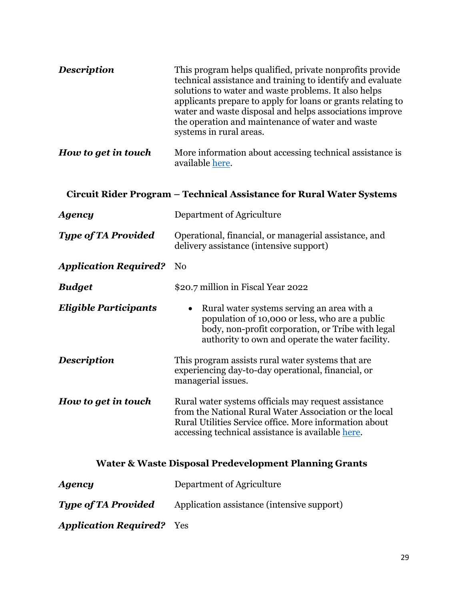| <b>Description</b>           | This program helps qualified, private nonprofits provide<br>technical assistance and training to identify and evaluate<br>solutions to water and waste problems. It also helps<br>applicants prepare to apply for loans or grants relating to<br>water and waste disposal and helps associations improve<br>the operation and maintenance of water and waste<br>systems in rural areas. |
|------------------------------|-----------------------------------------------------------------------------------------------------------------------------------------------------------------------------------------------------------------------------------------------------------------------------------------------------------------------------------------------------------------------------------------|
| How to get in touch          | More information about accessing technical assistance is<br>available here.                                                                                                                                                                                                                                                                                                             |
|                              | Circuit Rider Program – Technical Assistance for Rural Water Systems                                                                                                                                                                                                                                                                                                                    |
| <b>Agency</b>                | Department of Agriculture                                                                                                                                                                                                                                                                                                                                                               |
| <b>Type of TA Provided</b>   | Operational, financial, or managerial assistance, and<br>delivery assistance (intensive support)                                                                                                                                                                                                                                                                                        |
| <b>Application Required?</b> | N <sub>0</sub>                                                                                                                                                                                                                                                                                                                                                                          |
| <b>Budget</b>                | \$20.7 million in Fiscal Year 2022                                                                                                                                                                                                                                                                                                                                                      |
| <b>Eligible Participants</b> | Rural water systems serving an area with a<br>٠<br>population of 10,000 or less, who are a public<br>body, non-profit corporation, or Tribe with legal<br>authority to own and operate the water facility.                                                                                                                                                                              |
| <b>Description</b>           | This program assists rural water systems that are<br>experiencing day-to-day operational, financial, or<br>managerial issues.                                                                                                                                                                                                                                                           |
| How to get in touch          | Rural water systems officials may request assistance<br>from the National Rural Water Association or the local<br>Rural Utilities Service office. More information about<br>accessing technical assistance is available here.                                                                                                                                                           |
|                              | <b>Water &amp; Waste Disposal Predevelopment Planning Grants</b>                                                                                                                                                                                                                                                                                                                        |
| <b>Agency</b>                | Department of Agriculture                                                                                                                                                                                                                                                                                                                                                               |
| <b>Type of TA Provided</b>   | Application assistance (intensive support)                                                                                                                                                                                                                                                                                                                                              |

*Application Required?* Yes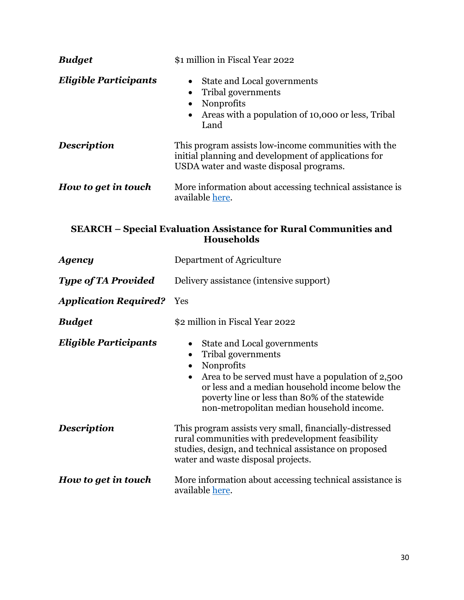| <b>Budget</b>         | \$1 million in Fiscal Year 2022                                                                                                                                            |
|-----------------------|----------------------------------------------------------------------------------------------------------------------------------------------------------------------------|
| Eligible Participants | State and Local governments<br>$\bullet$<br>Tribal governments<br>$\bullet$<br><b>Nonprofits</b><br>$\bullet$<br>Areas with a population of 10,000 or less, Tribal<br>Land |
| <b>Description</b>    | This program assists low-income communities with the<br>initial planning and development of applications for<br>USDA water and waste disposal programs.                    |
| How to get in touch   | More information about accessing technical assistance is<br>available here.                                                                                                |

#### **SEARCH – Special Evaluation Assistance for Rural Communities and Households**

| Agency                       | Department of Agriculture                                                                                                                                                                                                                                                                                                  |
|------------------------------|----------------------------------------------------------------------------------------------------------------------------------------------------------------------------------------------------------------------------------------------------------------------------------------------------------------------------|
| <b>Type of TA Provided</b>   | Delivery assistance (intensive support)                                                                                                                                                                                                                                                                                    |
| <b>Application Required?</b> | <b>Yes</b>                                                                                                                                                                                                                                                                                                                 |
| <b>Budget</b>                | \$2 million in Fiscal Year 2022                                                                                                                                                                                                                                                                                            |
| Eligible Participants        | State and Local governments<br>$\bullet$<br>Tribal governments<br>$\bullet$<br>Nonprofits<br>$\bullet$<br>Area to be served must have a population of 2,500<br>$\bullet$<br>or less and a median household income below the<br>poverty line or less than 80% of the statewide<br>non-metropolitan median household income. |
| <b>Description</b>           | This program assists very small, financially-distressed<br>rural communities with predevelopment feasibility<br>studies, design, and technical assistance on proposed<br>water and waste disposal projects.                                                                                                                |
| How to get in touch          | More information about accessing technical assistance is<br>available here.                                                                                                                                                                                                                                                |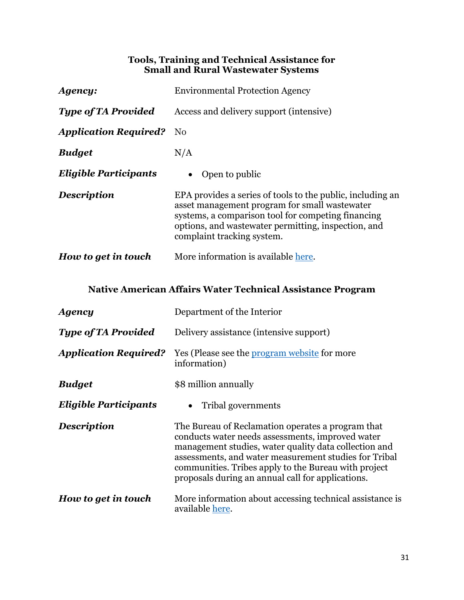#### **Tools, Training and Technical Assistance for Small and Rural Wastewater Systems**

| Agency:                                                           | <b>Environmental Protection Agency</b>                                                                                                                                                                                                                                                                                               |  |
|-------------------------------------------------------------------|--------------------------------------------------------------------------------------------------------------------------------------------------------------------------------------------------------------------------------------------------------------------------------------------------------------------------------------|--|
| <b>Type of TA Provided</b>                                        | Access and delivery support (intensive)                                                                                                                                                                                                                                                                                              |  |
| <b>Application Required?</b>                                      | N <sub>0</sub>                                                                                                                                                                                                                                                                                                                       |  |
| <b>Budget</b>                                                     | N/A                                                                                                                                                                                                                                                                                                                                  |  |
| <b>Eligible Participants</b>                                      | Open to public                                                                                                                                                                                                                                                                                                                       |  |
| <b>Description</b>                                                | EPA provides a series of tools to the public, including an<br>asset management program for small wastewater<br>systems, a comparison tool for competing financing<br>options, and wastewater permitting, inspection, and<br>complaint tracking system.                                                                               |  |
| How to get in touch                                               | More information is available here.                                                                                                                                                                                                                                                                                                  |  |
| <b>Native American Affairs Water Technical Assistance Program</b> |                                                                                                                                                                                                                                                                                                                                      |  |
| <b>Agency</b>                                                     | Department of the Interior                                                                                                                                                                                                                                                                                                           |  |
| <b>Type of TA Provided</b>                                        | Delivery assistance (intensive support)                                                                                                                                                                                                                                                                                              |  |
| <b>Application Required?</b>                                      | Yes (Please see the <u>program website</u> for more<br>information)                                                                                                                                                                                                                                                                  |  |
| <b>Budget</b>                                                     | \$8 million annually                                                                                                                                                                                                                                                                                                                 |  |
| <b>Eligible Participants</b>                                      | Tribal governments                                                                                                                                                                                                                                                                                                                   |  |
| <b>Description</b>                                                | The Bureau of Reclamation operates a program that<br>conducts water needs assessments, improved water<br>management studies, water quality data collection and<br>assessments, and water measurement studies for Tribal<br>communities. Tribes apply to the Bureau with project<br>proposals during an annual call for applications. |  |

*How to get in touch* More information about accessing technical assistance is available <u>here</u>.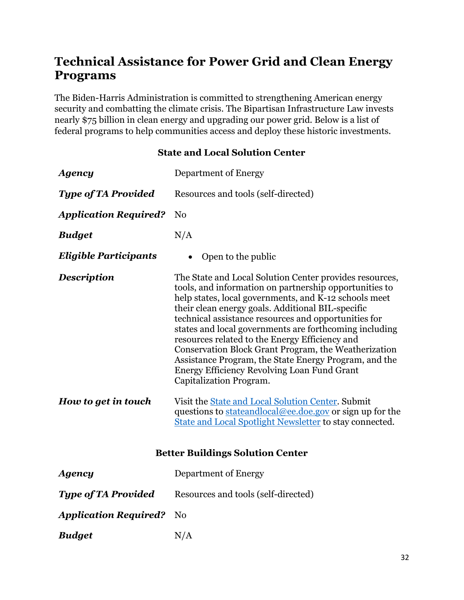# <span id="page-31-0"></span>**Technical Assistance for Power Grid and Clean Energy Programs**

The Biden-Harris Administration is committed to strengthening American energy security and combatting the climate crisis. The Bipartisan Infrastructure Law invests nearly \$75 billion in clean energy and upgrading our power grid. Below is a list of federal programs to help communities access and deploy these historic investments.

#### **State and Local Solution Center**

| <b>Agency</b>                | Department of Energy                                                                                                                                                                                                                                                                                                                                                                                                                                                                                                                                                                           |
|------------------------------|------------------------------------------------------------------------------------------------------------------------------------------------------------------------------------------------------------------------------------------------------------------------------------------------------------------------------------------------------------------------------------------------------------------------------------------------------------------------------------------------------------------------------------------------------------------------------------------------|
| <b>Type of TA Provided</b>   | Resources and tools (self-directed)                                                                                                                                                                                                                                                                                                                                                                                                                                                                                                                                                            |
| <b>Application Required?</b> | N <sub>0</sub>                                                                                                                                                                                                                                                                                                                                                                                                                                                                                                                                                                                 |
| <b>Budget</b>                | N/A                                                                                                                                                                                                                                                                                                                                                                                                                                                                                                                                                                                            |
| <b>Eligible Participants</b> | Open to the public                                                                                                                                                                                                                                                                                                                                                                                                                                                                                                                                                                             |
| <b>Description</b>           | The State and Local Solution Center provides resources,<br>tools, and information on partnership opportunities to<br>help states, local governments, and K-12 schools meet<br>their clean energy goals. Additional BIL-specific<br>technical assistance resources and opportunities for<br>states and local governments are forthcoming including<br>resources related to the Energy Efficiency and<br>Conservation Block Grant Program, the Weatherization<br>Assistance Program, the State Energy Program, and the<br>Energy Efficiency Revolving Loan Fund Grant<br>Capitalization Program. |
| How to get in touch          | Visit the <b>State and Local Solution Center</b> . Submit<br>questions to state and local@ee.doe.gov or sign up for the<br>State and Local Spotlight Newsletter to stay connected.                                                                                                                                                                                                                                                                                                                                                                                                             |

#### **Better Buildings Solution Center**

| Agency                          | Department of Energy                |
|---------------------------------|-------------------------------------|
| <b>Type of TA Provided</b>      | Resources and tools (self-directed) |
| <b>Application Required?</b> No |                                     |
| <b>Budget</b>                   | N/A                                 |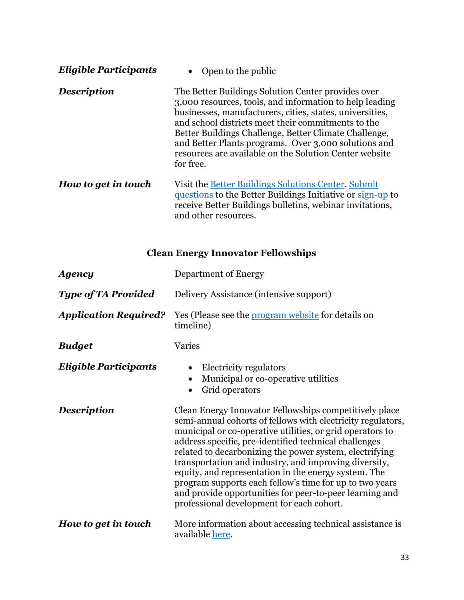| <b>Eligible Participants</b> | Open to the public                                                                                                                                                                                                                                                                                                                                                                                                      |
|------------------------------|-------------------------------------------------------------------------------------------------------------------------------------------------------------------------------------------------------------------------------------------------------------------------------------------------------------------------------------------------------------------------------------------------------------------------|
| <b>Description</b>           | The Better Buildings Solution Center provides over<br>3,000 resources, tools, and information to help leading<br>businesses, manufacturers, cities, states, universities,<br>and school districts meet their commitments to the<br>Better Buildings Challenge, Better Climate Challenge,<br>and Better Plants programs. Over 3,000 solutions and<br>resources are available on the Solution Center website<br>for free. |
| How to get in touch          | Visit the Better Buildings Solutions Center. Submit<br>questions to the Better Buildings Initiative or sign-up to                                                                                                                                                                                                                                                                                                       |

# receive Better Buildings bulletins, webinar invitations, and other resources.

### **Clean Energy Innovator Fellowships**

| Agency                       | Department of Energy                                                                                                                                                                                                                                                                                                                                                                                                                                                                                                                                                                       |
|------------------------------|--------------------------------------------------------------------------------------------------------------------------------------------------------------------------------------------------------------------------------------------------------------------------------------------------------------------------------------------------------------------------------------------------------------------------------------------------------------------------------------------------------------------------------------------------------------------------------------------|
| <b>Type of TA Provided</b>   | Delivery Assistance (intensive support)                                                                                                                                                                                                                                                                                                                                                                                                                                                                                                                                                    |
| <b>Application Required?</b> | Yes (Please see the program website for details on<br>timeline)                                                                                                                                                                                                                                                                                                                                                                                                                                                                                                                            |
| <b>Budget</b>                | Varies                                                                                                                                                                                                                                                                                                                                                                                                                                                                                                                                                                                     |
| <b>Eligible Participants</b> | <b>Electricity regulators</b><br>$\bullet$<br>Municipal or co-operative utilities<br>$\bullet$<br>Grid operators<br>$\bullet$                                                                                                                                                                                                                                                                                                                                                                                                                                                              |
| <b>Description</b>           | Clean Energy Innovator Fellowships competitively place<br>semi-annual cohorts of fellows with electricity regulators,<br>municipal or co-operative utilities, or grid operators to<br>address specific, pre-identified technical challenges<br>related to decarbonizing the power system, electrifying<br>transportation and industry, and improving diversity,<br>equity, and representation in the energy system. The<br>program supports each fellow's time for up to two years<br>and provide opportunities for peer-to-peer learning and<br>professional development for each cohort. |
| How to get in touch          | More information about accessing technical assistance is<br>available here.                                                                                                                                                                                                                                                                                                                                                                                                                                                                                                                |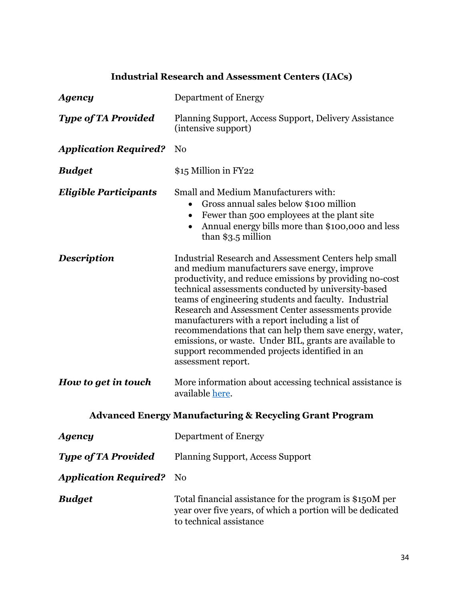### **Industrial Research and Assessment Centers (IACs)**

| <b>Agency</b>                                                      | Department of Energy                                                                                                                                                                                                                                                                                                                                                                                                                                                                                                                                                                   |  |
|--------------------------------------------------------------------|----------------------------------------------------------------------------------------------------------------------------------------------------------------------------------------------------------------------------------------------------------------------------------------------------------------------------------------------------------------------------------------------------------------------------------------------------------------------------------------------------------------------------------------------------------------------------------------|--|
| <b>Type of TA Provided</b>                                         | Planning Support, Access Support, Delivery Assistance<br>(intensive support)                                                                                                                                                                                                                                                                                                                                                                                                                                                                                                           |  |
| <b>Application Required?</b>                                       | N <sub>0</sub>                                                                                                                                                                                                                                                                                                                                                                                                                                                                                                                                                                         |  |
| <b>Budget</b>                                                      | \$15 Million in FY22                                                                                                                                                                                                                                                                                                                                                                                                                                                                                                                                                                   |  |
| <b>Eligible Participants</b>                                       | Small and Medium Manufacturers with:<br>Gross annual sales below \$100 million<br>Fewer than 500 employees at the plant site<br>Annual energy bills more than \$100,000 and less<br>than $$3.5$ million                                                                                                                                                                                                                                                                                                                                                                                |  |
| <b>Description</b>                                                 | Industrial Research and Assessment Centers help small<br>and medium manufacturers save energy, improve<br>productivity, and reduce emissions by providing no-cost<br>technical assessments conducted by university-based<br>teams of engineering students and faculty. Industrial<br>Research and Assessment Center assessments provide<br>manufacturers with a report including a list of<br>recommendations that can help them save energy, water,<br>emissions, or waste. Under BIL, grants are available to<br>support recommended projects identified in an<br>assessment report. |  |
| How to get in touch                                                | More information about accessing technical assistance is<br>available here.                                                                                                                                                                                                                                                                                                                                                                                                                                                                                                            |  |
| <b>Advanced Energy Manufacturing &amp; Recycling Grant Program</b> |                                                                                                                                                                                                                                                                                                                                                                                                                                                                                                                                                                                        |  |
| Agency                                                             | Department of Energy                                                                                                                                                                                                                                                                                                                                                                                                                                                                                                                                                                   |  |
| <b>Type of TA Provided</b>                                         | <b>Planning Support, Access Support</b>                                                                                                                                                                                                                                                                                                                                                                                                                                                                                                                                                |  |
| <b>Application Required?</b>                                       | N <sub>0</sub>                                                                                                                                                                                                                                                                                                                                                                                                                                                                                                                                                                         |  |
| <b>Budget</b>                                                      | Total financial assistance for the program is \$150M per<br>year over five years, of which a portion will be dedicated<br>to technical assistance                                                                                                                                                                                                                                                                                                                                                                                                                                      |  |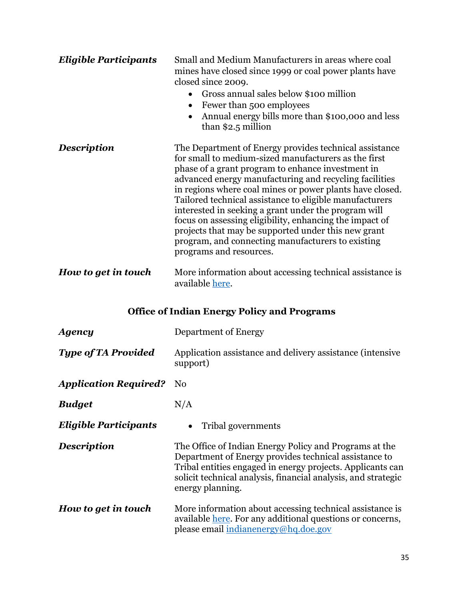| <b>Eligible Participants</b> | Small and Medium Manufacturers in areas where coal<br>mines have closed since 1999 or coal power plants have<br>closed since 2009.<br>Gross annual sales below \$100 million<br>Fewer than 500 employees<br>Annual energy bills more than \$100,000 and less<br>than $$2.5$ million                                                                                                                                                                                                                                                                                                                            |
|------------------------------|----------------------------------------------------------------------------------------------------------------------------------------------------------------------------------------------------------------------------------------------------------------------------------------------------------------------------------------------------------------------------------------------------------------------------------------------------------------------------------------------------------------------------------------------------------------------------------------------------------------|
| <b>Description</b>           | The Department of Energy provides technical assistance<br>for small to medium-sized manufacturers as the first<br>phase of a grant program to enhance investment in<br>advanced energy manufacturing and recycling facilities<br>in regions where coal mines or power plants have closed.<br>Tailored technical assistance to eligible manufacturers<br>interested in seeking a grant under the program will<br>focus on assessing eligibility, enhancing the impact of<br>projects that may be supported under this new grant<br>program, and connecting manufacturers to existing<br>programs and resources. |
| How to get in touch          | More information about accessing technical assistance is<br>available here.                                                                                                                                                                                                                                                                                                                                                                                                                                                                                                                                    |

### **Office of Indian Energy Policy and Programs**

| Agency                       | Department of Energy                                                                                                                                                                                                                                               |
|------------------------------|--------------------------------------------------------------------------------------------------------------------------------------------------------------------------------------------------------------------------------------------------------------------|
| <b>Type of TA Provided</b>   | Application assistance and delivery assistance (intensive<br>support)                                                                                                                                                                                              |
| <b>Application Required?</b> | N <sub>0</sub>                                                                                                                                                                                                                                                     |
| <b>Budget</b>                | N/A                                                                                                                                                                                                                                                                |
| Eligible Participants        | Tribal governments                                                                                                                                                                                                                                                 |
| <b>Description</b>           | The Office of Indian Energy Policy and Programs at the<br>Department of Energy provides technical assistance to<br>Tribal entities engaged in energy projects. Applicants can<br>solicit technical analysis, financial analysis, and strategic<br>energy planning. |
| How to get in touch          | More information about accessing technical assistance is<br>available here. For any additional questions or concerns,<br>please email indianenergy@hq.doe.gov                                                                                                      |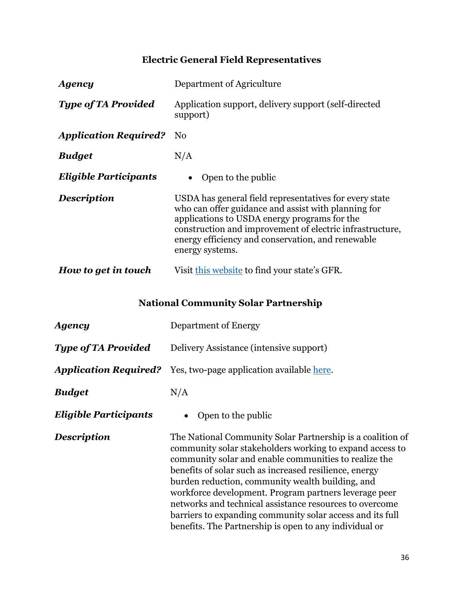### **Electric General Field Representatives**

| <b>Agency</b>                | Department of Agriculture                                                                                                                                                                                                                                                                                                                                                                                                                                                                                                                |
|------------------------------|------------------------------------------------------------------------------------------------------------------------------------------------------------------------------------------------------------------------------------------------------------------------------------------------------------------------------------------------------------------------------------------------------------------------------------------------------------------------------------------------------------------------------------------|
| <b>Type of TA Provided</b>   | Application support, delivery support (self-directed<br>support)                                                                                                                                                                                                                                                                                                                                                                                                                                                                         |
| <b>Application Required?</b> | N <sub>0</sub>                                                                                                                                                                                                                                                                                                                                                                                                                                                                                                                           |
| <b>Budget</b>                | N/A                                                                                                                                                                                                                                                                                                                                                                                                                                                                                                                                      |
| <b>Eligible Participants</b> | Open to the public<br>$\bullet$                                                                                                                                                                                                                                                                                                                                                                                                                                                                                                          |
| <b>Description</b>           | USDA has general field representatives for every state<br>who can offer guidance and assist with planning for<br>applications to USDA energy programs for the<br>construction and improvement of electric infrastructure,<br>energy efficiency and conservation, and renewable<br>energy systems.                                                                                                                                                                                                                                        |
| How to get in touch          | Visit this website to find your state's GFR.                                                                                                                                                                                                                                                                                                                                                                                                                                                                                             |
|                              | <b>National Community Solar Partnership</b>                                                                                                                                                                                                                                                                                                                                                                                                                                                                                              |
| Agency                       | Department of Energy                                                                                                                                                                                                                                                                                                                                                                                                                                                                                                                     |
| <b>Type of TA Provided</b>   | Delivery Assistance (intensive support)                                                                                                                                                                                                                                                                                                                                                                                                                                                                                                  |
| Application Required?        | Yes, two-page application available here.                                                                                                                                                                                                                                                                                                                                                                                                                                                                                                |
| Budget                       | N/A                                                                                                                                                                                                                                                                                                                                                                                                                                                                                                                                      |
| Eligible Participants        | Open to the public                                                                                                                                                                                                                                                                                                                                                                                                                                                                                                                       |
| <b>Description</b>           | The National Community Solar Partnership is a coalition of<br>community solar stakeholders working to expand access to<br>community solar and enable communities to realize the<br>benefits of solar such as increased resilience, energy<br>burden reduction, community wealth building, and<br>workforce development. Program partners leverage peer<br>networks and technical assistance resources to overcome<br>barriers to expanding community solar access and its full<br>benefits. The Partnership is open to any individual or |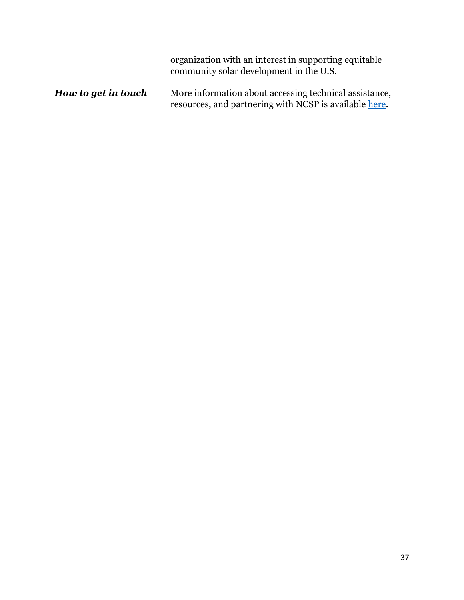|                     | organization with an interest in supporting equitable<br>community solar development in the U.S.                 |
|---------------------|------------------------------------------------------------------------------------------------------------------|
| How to get in touch | More information about accessing technical assistance,<br>resources, and partnering with NCSP is available here. |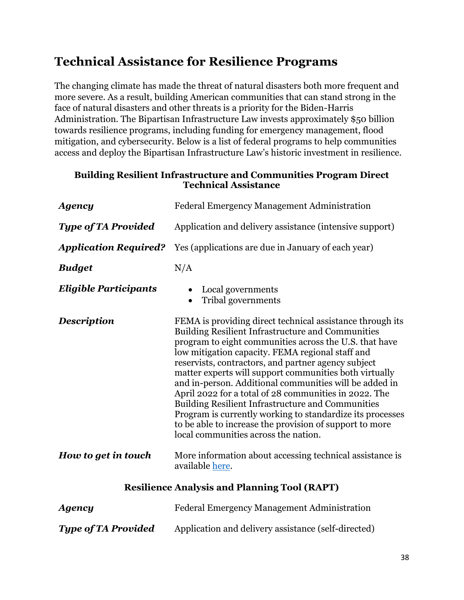# <span id="page-37-0"></span>**Technical Assistance for Resilience Programs**

The changing climate has made the threat of natural disasters both more frequent and more severe. As a result, building American communities that can stand strong in the face of natural disasters and other threats is a priority for the Biden-Harris Administration. The Bipartisan Infrastructure Law invests approximately \$50 billion towards resilience programs, including funding for emergency management, flood mitigation, and cybersecurity. Below is a list of federal programs to help communities access and deploy the Bipartisan Infrastructure Law's historic investment in resilience.

**Building Resilient Infrastructure and Communities Program Direct** 

| <b>Technical Assistance</b>                         |                                                                                                                                                                                                                                                                                                                                                                                                                                                                                                                                                                                                                                                                                                     |
|-----------------------------------------------------|-----------------------------------------------------------------------------------------------------------------------------------------------------------------------------------------------------------------------------------------------------------------------------------------------------------------------------------------------------------------------------------------------------------------------------------------------------------------------------------------------------------------------------------------------------------------------------------------------------------------------------------------------------------------------------------------------------|
| <b>Agency</b>                                       | Federal Emergency Management Administration                                                                                                                                                                                                                                                                                                                                                                                                                                                                                                                                                                                                                                                         |
| <b>Type of TA Provided</b>                          | Application and delivery assistance (intensive support)                                                                                                                                                                                                                                                                                                                                                                                                                                                                                                                                                                                                                                             |
| <b>Application Required?</b>                        | Yes (applications are due in January of each year)                                                                                                                                                                                                                                                                                                                                                                                                                                                                                                                                                                                                                                                  |
| <b>Budget</b>                                       | N/A                                                                                                                                                                                                                                                                                                                                                                                                                                                                                                                                                                                                                                                                                                 |
| <b>Eligible Participants</b>                        | Local governments<br><b>Tribal governments</b>                                                                                                                                                                                                                                                                                                                                                                                                                                                                                                                                                                                                                                                      |
| <b>Description</b>                                  | FEMA is providing direct technical assistance through its<br><b>Building Resilient Infrastructure and Communities</b><br>program to eight communities across the U.S. that have<br>low mitigation capacity. FEMA regional staff and<br>reservists, contractors, and partner agency subject<br>matter experts will support communities both virtually<br>and in-person. Additional communities will be added in<br>April 2022 for a total of 28 communities in 2022. The<br><b>Building Resilient Infrastructure and Communities</b><br>Program is currently working to standardize its processes<br>to be able to increase the provision of support to more<br>local communities across the nation. |
| How to get in touch                                 | More information about accessing technical assistance is<br>available here.                                                                                                                                                                                                                                                                                                                                                                                                                                                                                                                                                                                                                         |
| <b>Resilience Analysis and Planning Tool (RAPT)</b> |                                                                                                                                                                                                                                                                                                                                                                                                                                                                                                                                                                                                                                                                                                     |
| <b>Agency</b>                                       | Federal Emergency Management Administration                                                                                                                                                                                                                                                                                                                                                                                                                                                                                                                                                                                                                                                         |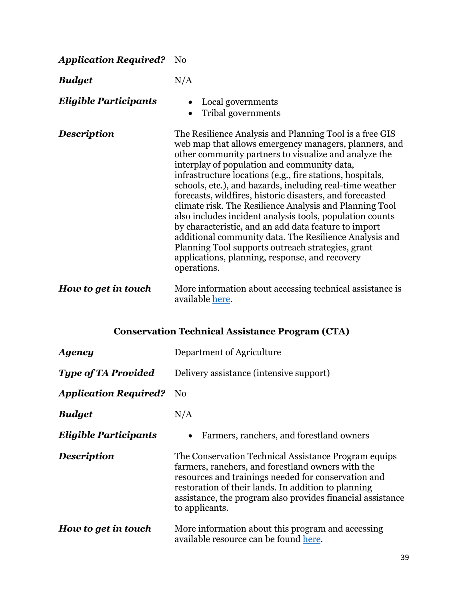| <b>Application Required?</b> | N <sub>0</sub>                                                                                                                                                                                                                                                                                                                                                                                                                                                                                                                                                                                                                                                                                                                                                               |
|------------------------------|------------------------------------------------------------------------------------------------------------------------------------------------------------------------------------------------------------------------------------------------------------------------------------------------------------------------------------------------------------------------------------------------------------------------------------------------------------------------------------------------------------------------------------------------------------------------------------------------------------------------------------------------------------------------------------------------------------------------------------------------------------------------------|
| <b>Budget</b>                | N/A                                                                                                                                                                                                                                                                                                                                                                                                                                                                                                                                                                                                                                                                                                                                                                          |
| <b>Eligible Participants</b> | Local governments<br>$\bullet$<br>Tribal governments                                                                                                                                                                                                                                                                                                                                                                                                                                                                                                                                                                                                                                                                                                                         |
| <b>Description</b>           | The Resilience Analysis and Planning Tool is a free GIS<br>web map that allows emergency managers, planners, and<br>other community partners to visualize and analyze the<br>interplay of population and community data,<br>infrastructure locations (e.g., fire stations, hospitals,<br>schools, etc.), and hazards, including real-time weather<br>forecasts, wildfires, historic disasters, and forecasted<br>climate risk. The Resilience Analysis and Planning Tool<br>also includes incident analysis tools, population counts<br>by characteristic, and an add data feature to import<br>additional community data. The Resilience Analysis and<br>Planning Tool supports outreach strategies, grant<br>applications, planning, response, and recovery<br>operations. |
| How to get in touch          | More information about accessing technical assistance is<br>available here.                                                                                                                                                                                                                                                                                                                                                                                                                                                                                                                                                                                                                                                                                                  |
|                              | <b>Conservation Technical Assistance Program (CTA)</b>                                                                                                                                                                                                                                                                                                                                                                                                                                                                                                                                                                                                                                                                                                                       |
| <b>Agency</b>                | Department of Agriculture                                                                                                                                                                                                                                                                                                                                                                                                                                                                                                                                                                                                                                                                                                                                                    |
| <b>Type of TA Provided</b>   | Delivery assistance (intensive support)                                                                                                                                                                                                                                                                                                                                                                                                                                                                                                                                                                                                                                                                                                                                      |
| <b>Application Required?</b> | No                                                                                                                                                                                                                                                                                                                                                                                                                                                                                                                                                                                                                                                                                                                                                                           |
| <b>Budget</b>                | N/A                                                                                                                                                                                                                                                                                                                                                                                                                                                                                                                                                                                                                                                                                                                                                                          |
| <b>Eligible Participants</b> | Farmers, ranchers, and forestland owners                                                                                                                                                                                                                                                                                                                                                                                                                                                                                                                                                                                                                                                                                                                                     |
| <b>Description</b>           | The Conservation Technical Assistance Program equips<br>farmers, ranchers, and forestland owners with the<br>resources and trainings needed for conservation and<br>restoration of their lands. In addition to planning<br>assistance, the program also provides financial assistance<br>to applicants.                                                                                                                                                                                                                                                                                                                                                                                                                                                                      |
|                              |                                                                                                                                                                                                                                                                                                                                                                                                                                                                                                                                                                                                                                                                                                                                                                              |

*How to get in touch* More information about this program and accessing available resource can be found <u>here</u>.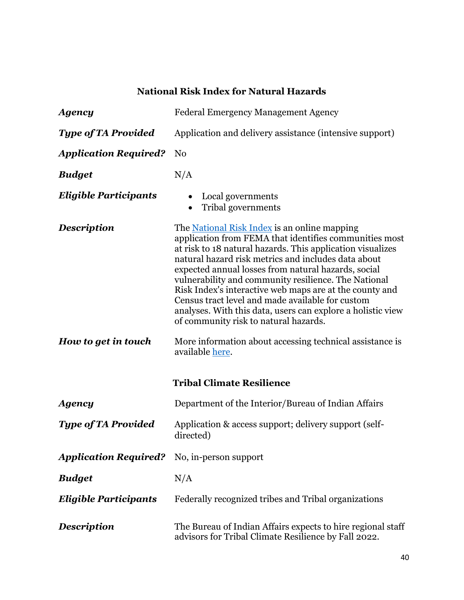### **National Risk Index for Natural Hazards**

| <b>Agency</b>                             | <b>Federal Emergency Management Agency</b>                                                                                                                                                                                                                                                                                                                                                                                                                                                                                                                                                                                    |
|-------------------------------------------|-------------------------------------------------------------------------------------------------------------------------------------------------------------------------------------------------------------------------------------------------------------------------------------------------------------------------------------------------------------------------------------------------------------------------------------------------------------------------------------------------------------------------------------------------------------------------------------------------------------------------------|
| <b>Type of TA Provided</b>                | Application and delivery assistance (intensive support)                                                                                                                                                                                                                                                                                                                                                                                                                                                                                                                                                                       |
| <b>Application Required?</b>              | N <sub>0</sub>                                                                                                                                                                                                                                                                                                                                                                                                                                                                                                                                                                                                                |
| <b>Budget</b>                             | N/A                                                                                                                                                                                                                                                                                                                                                                                                                                                                                                                                                                                                                           |
| <b>Eligible Participants</b>              | Local governments<br>$\bullet$<br>Tribal governments<br>$\bullet$                                                                                                                                                                                                                                                                                                                                                                                                                                                                                                                                                             |
| <b>Description</b><br>How to get in touch | The National Risk Index is an online mapping<br>application from FEMA that identifies communities most<br>at risk to 18 natural hazards. This application visualizes<br>natural hazard risk metrics and includes data about<br>expected annual losses from natural hazards, social<br>vulnerability and community resilience. The National<br>Risk Index's interactive web maps are at the county and<br>Census tract level and made available for custom<br>analyses. With this data, users can explore a holistic view<br>of community risk to natural hazards.<br>More information about accessing technical assistance is |
|                                           | available here.<br><b>Tribal Climate Resilience</b>                                                                                                                                                                                                                                                                                                                                                                                                                                                                                                                                                                           |
| <b>Agency</b>                             | Department of the Interior/Bureau of Indian Affairs                                                                                                                                                                                                                                                                                                                                                                                                                                                                                                                                                                           |
| <b>Type of TA Provided</b>                | Application & access support; delivery support (self-<br>directed)                                                                                                                                                                                                                                                                                                                                                                                                                                                                                                                                                            |
| <b>Application Required?</b>              | No, in-person support                                                                                                                                                                                                                                                                                                                                                                                                                                                                                                                                                                                                         |
| <b>Budget</b>                             | N/A                                                                                                                                                                                                                                                                                                                                                                                                                                                                                                                                                                                                                           |
| <b>Eligible Participants</b>              | Federally recognized tribes and Tribal organizations                                                                                                                                                                                                                                                                                                                                                                                                                                                                                                                                                                          |
| <b>Description</b>                        | The Bureau of Indian Affairs expects to hire regional staff<br>advisors for Tribal Climate Resilience by Fall 2022.                                                                                                                                                                                                                                                                                                                                                                                                                                                                                                           |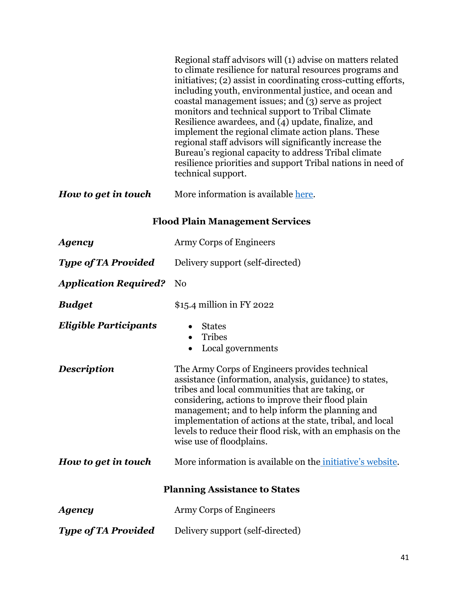|                     | Regional staff advisors will (1) advise on matters related<br>to climate resilience for natural resources programs and<br>initiatives; (2) assist in coordinating cross-cutting efforts,<br>including youth, environmental justice, and ocean and<br>coastal management issues; and (3) serve as project<br>monitors and technical support to Tribal Climate<br>Resilience awardees, and (4) update, finalize, and<br>implement the regional climate action plans. These<br>regional staff advisors will significantly increase the<br>Bureau's regional capacity to address Tribal climate<br>resilience priorities and support Tribal nations in need of<br>technical support. |
|---------------------|----------------------------------------------------------------------------------------------------------------------------------------------------------------------------------------------------------------------------------------------------------------------------------------------------------------------------------------------------------------------------------------------------------------------------------------------------------------------------------------------------------------------------------------------------------------------------------------------------------------------------------------------------------------------------------|
| How to get in touch | More information is available here.                                                                                                                                                                                                                                                                                                                                                                                                                                                                                                                                                                                                                                              |

### **Flood Plain Management Services**

| Agency                               | Army Corps of Engineers                                                                                                                                                                                                                                                                                                                                                                                                      |
|--------------------------------------|------------------------------------------------------------------------------------------------------------------------------------------------------------------------------------------------------------------------------------------------------------------------------------------------------------------------------------------------------------------------------------------------------------------------------|
| <b>Type of TA Provided</b>           | Delivery support (self-directed)                                                                                                                                                                                                                                                                                                                                                                                             |
| <b>Application Required?</b>         | N <sub>0</sub>                                                                                                                                                                                                                                                                                                                                                                                                               |
| <b>Budget</b>                        | \$15.4 million in FY 2022                                                                                                                                                                                                                                                                                                                                                                                                    |
| <b>Eligible Participants</b>         | <b>States</b><br><b>Tribes</b><br>$\bullet$<br>Local governments<br>$\bullet$                                                                                                                                                                                                                                                                                                                                                |
| <b>Description</b>                   | The Army Corps of Engineers provides technical<br>assistance (information, analysis, guidance) to states,<br>tribes and local communities that are taking, or<br>considering, actions to improve their flood plain<br>management; and to help inform the planning and<br>implementation of actions at the state, tribal, and local<br>levels to reduce their flood risk, with an emphasis on the<br>wise use of floodplains. |
| How to get in touch                  | More information is available on the initiative's website.                                                                                                                                                                                                                                                                                                                                                                   |
| <b>Planning Assistance to States</b> |                                                                                                                                                                                                                                                                                                                                                                                                                              |
| <b>Agency</b>                        | Army Corps of Engineers                                                                                                                                                                                                                                                                                                                                                                                                      |
| <b>Type of TA Provided</b>           | Delivery support (self-directed)                                                                                                                                                                                                                                                                                                                                                                                             |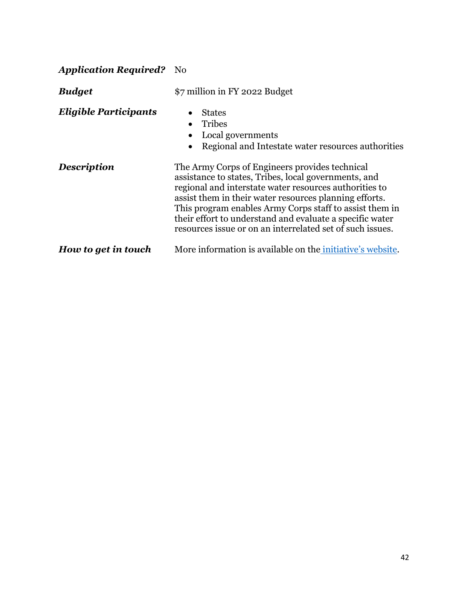### *Application Required?* No

| <b>Budget</b>                | \$7 million in FY 2022 Budget                                                                                                                                                                                                                                                                                                                                                                                  |
|------------------------------|----------------------------------------------------------------------------------------------------------------------------------------------------------------------------------------------------------------------------------------------------------------------------------------------------------------------------------------------------------------------------------------------------------------|
| <b>Eligible Participants</b> | <b>States</b><br>$\bullet$<br><b>Tribes</b><br>$\bullet$<br>Local governments<br>Regional and Intestate water resources authorities                                                                                                                                                                                                                                                                            |
| <b>Description</b>           | The Army Corps of Engineers provides technical<br>assistance to states, Tribes, local governments, and<br>regional and interstate water resources authorities to<br>assist them in their water resources planning efforts.<br>This program enables Army Corps staff to assist them in<br>their effort to understand and evaluate a specific water<br>resources issue or on an interrelated set of such issues. |
| How to get in touch          | More information is available on the initiative's website.                                                                                                                                                                                                                                                                                                                                                     |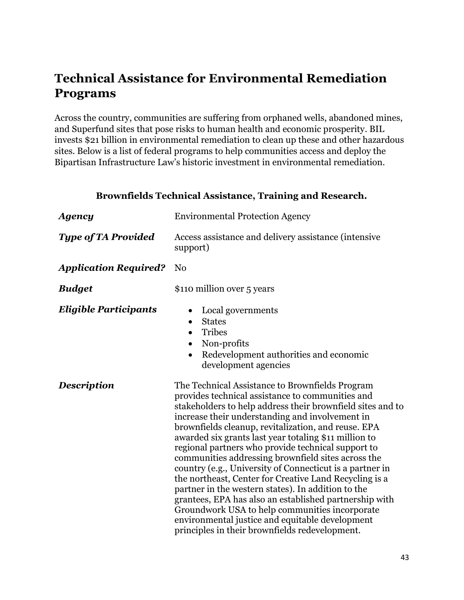# <span id="page-42-0"></span>**Technical Assistance for Environmental Remediation Programs**

Across the country, communities are suffering from orphaned wells, abandoned mines, and Superfund sites that pose risks to human health and economic prosperity. BIL invests \$21 billion in environmental remediation to clean up these and other hazardous sites. Below is a list of federal programs to help communities access and deploy the Bipartisan Infrastructure Law's historic investment in environmental remediation.

#### **Brownfields Technical Assistance, Training and Research.**

| <b>Agency</b>                | <b>Environmental Protection Agency</b>                                                                                                                                                                                                                                                                                                                                                                                                                                                                                                                                                                                                                                                                                                                                                                                                        |
|------------------------------|-----------------------------------------------------------------------------------------------------------------------------------------------------------------------------------------------------------------------------------------------------------------------------------------------------------------------------------------------------------------------------------------------------------------------------------------------------------------------------------------------------------------------------------------------------------------------------------------------------------------------------------------------------------------------------------------------------------------------------------------------------------------------------------------------------------------------------------------------|
| <b>Type of TA Provided</b>   | Access assistance and delivery assistance (intensive<br>support)                                                                                                                                                                                                                                                                                                                                                                                                                                                                                                                                                                                                                                                                                                                                                                              |
| <b>Application Required?</b> | N <sub>0</sub>                                                                                                                                                                                                                                                                                                                                                                                                                                                                                                                                                                                                                                                                                                                                                                                                                                |
| <b>Budget</b>                | \$110 million over 5 years                                                                                                                                                                                                                                                                                                                                                                                                                                                                                                                                                                                                                                                                                                                                                                                                                    |
| <b>Eligible Participants</b> | Local governments<br>$\bullet$<br><b>States</b><br>$\bullet$<br><b>Tribes</b><br>$\bullet$<br>Non-profits<br>٠<br>Redevelopment authorities and economic<br>$\bullet$<br>development agencies                                                                                                                                                                                                                                                                                                                                                                                                                                                                                                                                                                                                                                                 |
| <b>Description</b>           | The Technical Assistance to Brownfields Program<br>provides technical assistance to communities and<br>stakeholders to help address their brownfield sites and to<br>increase their understanding and involvement in<br>brownfields cleanup, revitalization, and reuse. EPA<br>awarded six grants last year totaling \$11 million to<br>regional partners who provide technical support to<br>communities addressing brownfield sites across the<br>country (e.g., University of Connecticut is a partner in<br>the northeast, Center for Creative Land Recycling is a<br>partner in the western states). In addition to the<br>grantees, EPA has also an established partnership with<br>Groundwork USA to help communities incorporate<br>environmental justice and equitable development<br>principles in their brownfields redevelopment. |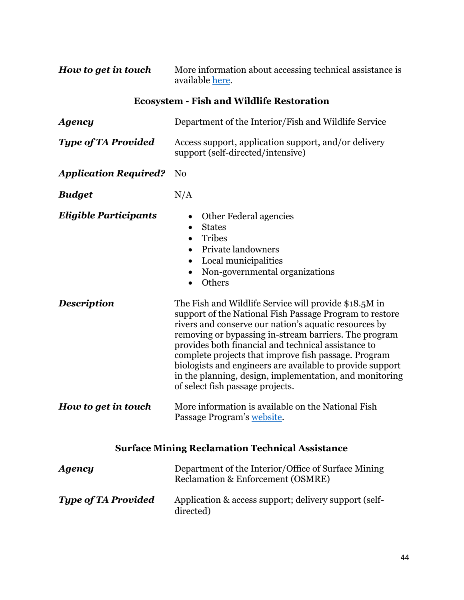| How to get in touch                                    | More information about accessing technical assistance is<br>available here.                                                                                                                                                                                                                                                                                                                                                                                                                                   |
|--------------------------------------------------------|---------------------------------------------------------------------------------------------------------------------------------------------------------------------------------------------------------------------------------------------------------------------------------------------------------------------------------------------------------------------------------------------------------------------------------------------------------------------------------------------------------------|
|                                                        | <b>Ecosystem - Fish and Wildlife Restoration</b>                                                                                                                                                                                                                                                                                                                                                                                                                                                              |
| <b>Agency</b>                                          | Department of the Interior/Fish and Wildlife Service                                                                                                                                                                                                                                                                                                                                                                                                                                                          |
| <b>Type of TA Provided</b>                             | Access support, application support, and/or delivery<br>support (self-directed/intensive)                                                                                                                                                                                                                                                                                                                                                                                                                     |
| <b>Application Required?</b>                           | N <sub>0</sub>                                                                                                                                                                                                                                                                                                                                                                                                                                                                                                |
| <b>Budget</b>                                          | N/A                                                                                                                                                                                                                                                                                                                                                                                                                                                                                                           |
| <b>Eligible Participants</b>                           | <b>Other Federal agencies</b><br><b>States</b><br>Tribes<br>Private landowners<br>Local municipalities<br>Non-governmental organizations<br>Others                                                                                                                                                                                                                                                                                                                                                            |
| <b>Description</b>                                     | The Fish and Wildlife Service will provide \$18.5M in<br>support of the National Fish Passage Program to restore<br>rivers and conserve our nation's aquatic resources by<br>removing or bypassing in-stream barriers. The program<br>provides both financial and technical assistance to<br>complete projects that improve fish passage. Program<br>biologists and engineers are available to provide support<br>in the planning, design, implementation, and monitoring<br>of select fish passage projects. |
| How to get in touch                                    | More information is available on the National Fish<br>Passage Program's website.                                                                                                                                                                                                                                                                                                                                                                                                                              |
| <b>Surface Mining Reclamation Technical Assistance</b> |                                                                                                                                                                                                                                                                                                                                                                                                                                                                                                               |
| <b>Agency</b>                                          | Department of the Interior/Office of Surface Mining<br>Reclamation & Enforcement (OSMRE)                                                                                                                                                                                                                                                                                                                                                                                                                      |
| <b>Type of TA Provided</b>                             | Application & access support; delivery support (self-<br>directed)                                                                                                                                                                                                                                                                                                                                                                                                                                            |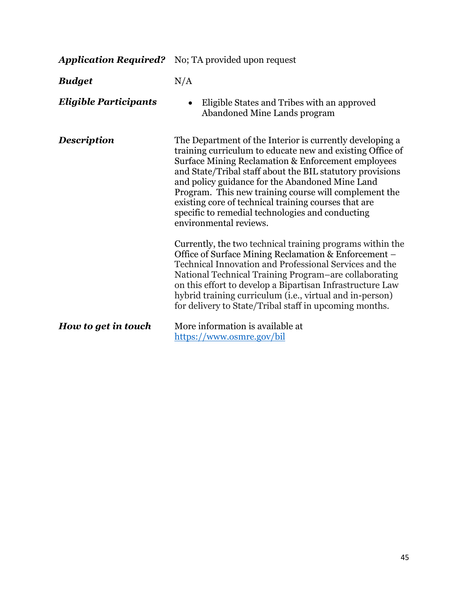|                              | <b>Application Required?</b> No; TA provided upon request                                                                                                                                                                                                                                                                                                                                                                                                                                  |
|------------------------------|--------------------------------------------------------------------------------------------------------------------------------------------------------------------------------------------------------------------------------------------------------------------------------------------------------------------------------------------------------------------------------------------------------------------------------------------------------------------------------------------|
| <b>Budget</b>                | N/A                                                                                                                                                                                                                                                                                                                                                                                                                                                                                        |
| <b>Eligible Participants</b> | Eligible States and Tribes with an approved<br>$\bullet$<br>Abandoned Mine Lands program                                                                                                                                                                                                                                                                                                                                                                                                   |
| <b>Description</b>           | The Department of the Interior is currently developing a<br>training curriculum to educate new and existing Office of<br>Surface Mining Reclamation & Enforcement employees<br>and State/Tribal staff about the BIL statutory provisions<br>and policy guidance for the Abandoned Mine Land<br>Program. This new training course will complement the<br>existing core of technical training courses that are<br>specific to remedial technologies and conducting<br>environmental reviews. |
|                              | Currently, the two technical training programs within the<br>Office of Surface Mining Reclamation & Enforcement –<br>Technical Innovation and Professional Services and the<br>National Technical Training Program–are collaborating<br>on this effort to develop a Bipartisan Infrastructure Law<br>hybrid training curriculum (i.e., virtual and in-person)<br>for delivery to State/Tribal staff in upcoming months.                                                                    |
| How to get in touch          | More information is available at<br>https://www.osmre.gov/bil                                                                                                                                                                                                                                                                                                                                                                                                                              |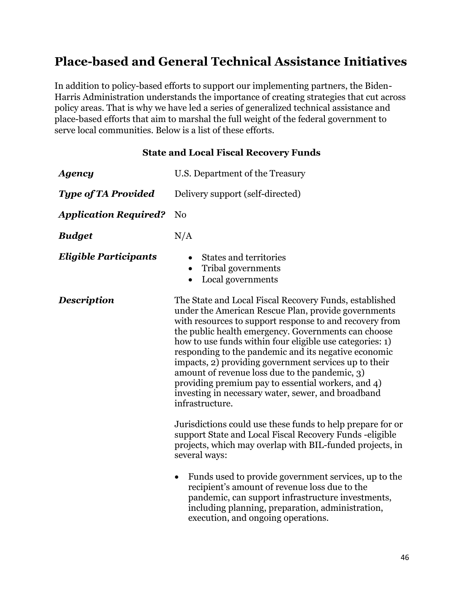### <span id="page-45-0"></span>**Place-based and General Technical Assistance Initiatives**

In addition to policy-based efforts to support our implementing partners, the Biden-Harris Administration understands the importance of creating strategies that cut across policy areas. That is why we have led a series of generalized technical assistance and place-based efforts that aim to marshal the full weight of the federal government to serve local communities. Below is a list of these efforts.

#### **State and Local Fiscal Recovery Funds**

| <b>Agency</b>                | U.S. Department of the Treasury                                                                                                                                                                                                                                                                                                                                                                                                                                                                                                                                                               |
|------------------------------|-----------------------------------------------------------------------------------------------------------------------------------------------------------------------------------------------------------------------------------------------------------------------------------------------------------------------------------------------------------------------------------------------------------------------------------------------------------------------------------------------------------------------------------------------------------------------------------------------|
| <b>Type of TA Provided</b>   | Delivery support (self-directed)                                                                                                                                                                                                                                                                                                                                                                                                                                                                                                                                                              |
| <b>Application Required?</b> | N <sub>0</sub>                                                                                                                                                                                                                                                                                                                                                                                                                                                                                                                                                                                |
| <b>Budget</b>                | N/A                                                                                                                                                                                                                                                                                                                                                                                                                                                                                                                                                                                           |
| <b>Eligible Participants</b> | <b>States and territories</b><br>Tribal governments<br>Local governments<br>$\bullet$                                                                                                                                                                                                                                                                                                                                                                                                                                                                                                         |
| <b>Description</b>           | The State and Local Fiscal Recovery Funds, established<br>under the American Rescue Plan, provide governments<br>with resources to support response to and recovery from<br>the public health emergency. Governments can choose<br>how to use funds within four eligible use categories: 1)<br>responding to the pandemic and its negative economic<br>impacts, 2) providing government services up to their<br>amount of revenue loss due to the pandemic, 3)<br>providing premium pay to essential workers, and 4)<br>investing in necessary water, sewer, and broadband<br>infrastructure. |
|                              | Jurisdictions could use these funds to help prepare for or<br>support State and Local Fiscal Recovery Funds - eligible<br>projects, which may overlap with BIL-funded projects, in<br>several ways:                                                                                                                                                                                                                                                                                                                                                                                           |
|                              | Funds used to provide government services, up to the<br>$\bullet$<br>recipient's amount of revenue loss due to the<br>pandemic, can support infrastructure investments,<br>including planning, preparation, administration,<br>execution, and ongoing operations.                                                                                                                                                                                                                                                                                                                             |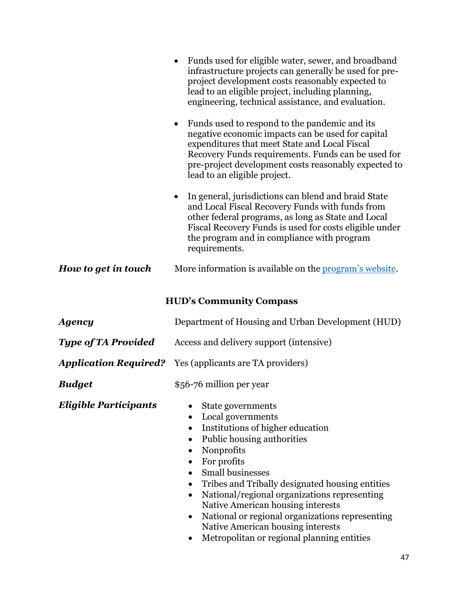|                                | Funds used for eligible water, sewer, and broadband<br>infrastructure projects can generally be used for pre-<br>project development costs reasonably expected to<br>lead to an eligible project, including planning,<br>engineering, technical assistance, and evaluation.                                                                                                                                                                         |  |
|--------------------------------|-----------------------------------------------------------------------------------------------------------------------------------------------------------------------------------------------------------------------------------------------------------------------------------------------------------------------------------------------------------------------------------------------------------------------------------------------------|--|
|                                | Funds used to respond to the pandemic and its<br>$\bullet$<br>negative economic impacts can be used for capital<br>expenditures that meet State and Local Fiscal<br>Recovery Funds requirements. Funds can be used for<br>pre-project development costs reasonably expected to<br>lead to an eligible project.                                                                                                                                      |  |
|                                | In general, jurisdictions can blend and braid State<br>$\bullet$<br>and Local Fiscal Recovery Funds with funds from<br>other federal programs, as long as State and Local<br>Fiscal Recovery Funds is used for costs eligible under<br>the program and in compliance with program<br>requirements.                                                                                                                                                  |  |
| How to get in touch            | More information is available on the <u>program's website</u> .                                                                                                                                                                                                                                                                                                                                                                                     |  |
| <b>HUD's Community Compass</b> |                                                                                                                                                                                                                                                                                                                                                                                                                                                     |  |
| <b>Agency</b>                  | Department of Housing and Urban Development (HUD)                                                                                                                                                                                                                                                                                                                                                                                                   |  |
| <b>Type of TA Provided</b>     | Access and delivery support (intensive)                                                                                                                                                                                                                                                                                                                                                                                                             |  |
| <b>Application Required?</b>   | Yes (applicants are TA providers)                                                                                                                                                                                                                                                                                                                                                                                                                   |  |
| <b>Budget</b>                  | \$56-76 million per year                                                                                                                                                                                                                                                                                                                                                                                                                            |  |
| <b>Eligible Participants</b>   | State governments<br>Local governments<br>Institutions of higher education<br>Public housing authorities<br>Nonprofits<br>For profits<br><b>Small businesses</b><br>Tribes and Tribally designated housing entities<br>National/regional organizations representing<br>٠<br>Native American housing interests<br>National or regional organizations representing<br>Native American housing interests<br>Metropolitan or regional planning entities |  |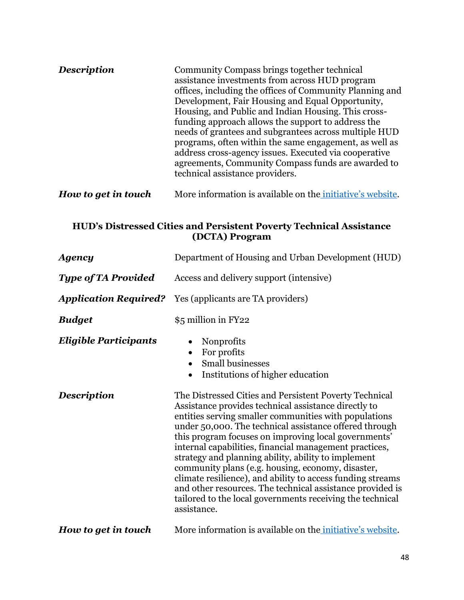| <b>Description</b>  | Community Compass brings together technical<br>assistance investments from across HUD program<br>offices, including the offices of Community Planning and<br>Development, Fair Housing and Equal Opportunity,<br>Housing, and Public and Indian Housing. This cross-<br>funding approach allows the support to address the<br>needs of grantees and subgrantees across multiple HUD<br>programs, often within the same engagement, as well as<br>address cross-agency issues. Executed via cooperative<br>agreements, Community Compass funds are awarded to<br>technical assistance providers. |
|---------------------|-------------------------------------------------------------------------------------------------------------------------------------------------------------------------------------------------------------------------------------------------------------------------------------------------------------------------------------------------------------------------------------------------------------------------------------------------------------------------------------------------------------------------------------------------------------------------------------------------|
| How to get in touch | More information is available on the initiative's website.                                                                                                                                                                                                                                                                                                                                                                                                                                                                                                                                      |

#### **HUD's Distressed Cities and Persistent Poverty Technical Assistance (DCTA) Program**

| Agency                       | Department of Housing and Urban Development (HUD)                                                                                                                                                                                                                                                                                                                                                                                                                                                                                                                                                                                                                      |  |
|------------------------------|------------------------------------------------------------------------------------------------------------------------------------------------------------------------------------------------------------------------------------------------------------------------------------------------------------------------------------------------------------------------------------------------------------------------------------------------------------------------------------------------------------------------------------------------------------------------------------------------------------------------------------------------------------------------|--|
| <b>Type of TA Provided</b>   | Access and delivery support (intensive)                                                                                                                                                                                                                                                                                                                                                                                                                                                                                                                                                                                                                                |  |
| <b>Application Required?</b> | Yes (applicants are TA providers)                                                                                                                                                                                                                                                                                                                                                                                                                                                                                                                                                                                                                                      |  |
| <b>Budget</b>                | \$5 million in FY22                                                                                                                                                                                                                                                                                                                                                                                                                                                                                                                                                                                                                                                    |  |
| <b>Eligible Participants</b> | <b>Nonprofits</b><br>For profits<br>Small businesses<br>$\bullet$<br>Institutions of higher education<br>$\bullet$                                                                                                                                                                                                                                                                                                                                                                                                                                                                                                                                                     |  |
| <b>Description</b>           | The Distressed Cities and Persistent Poverty Technical<br>Assistance provides technical assistance directly to<br>entities serving smaller communities with populations<br>under 50,000. The technical assistance offered through<br>this program focuses on improving local governments'<br>internal capabilities, financial management practices,<br>strategy and planning ability, ability to implement<br>community plans (e.g. housing, economy, disaster,<br>climate resilience), and ability to access funding streams<br>and other resources. The technical assistance provided is<br>tailored to the local governments receiving the technical<br>assistance. |  |
| How to get in touch          | More information is available on the <i>initiative's</i> website.                                                                                                                                                                                                                                                                                                                                                                                                                                                                                                                                                                                                      |  |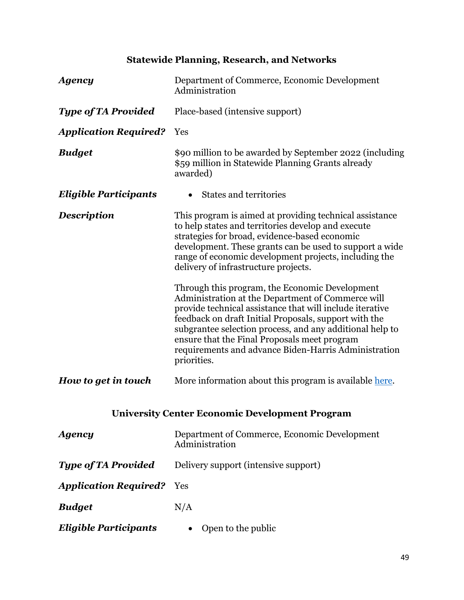### **Statewide Planning, Research, and Networks**

| <b>Agency</b>                                         | Department of Commerce, Economic Development<br>Administration                                                                                                                                                                                                                                                                                                                                              |  |
|-------------------------------------------------------|-------------------------------------------------------------------------------------------------------------------------------------------------------------------------------------------------------------------------------------------------------------------------------------------------------------------------------------------------------------------------------------------------------------|--|
| <b>Type of TA Provided</b>                            | Place-based (intensive support)                                                                                                                                                                                                                                                                                                                                                                             |  |
| <b>Application Required?</b>                          | Yes                                                                                                                                                                                                                                                                                                                                                                                                         |  |
| <b>Budget</b>                                         | \$90 million to be awarded by September 2022 (including<br>\$59 million in Statewide Planning Grants already<br>awarded)                                                                                                                                                                                                                                                                                    |  |
| <b>Eligible Participants</b>                          | States and territories                                                                                                                                                                                                                                                                                                                                                                                      |  |
| <b>Description</b>                                    | This program is aimed at providing technical assistance<br>to help states and territories develop and execute<br>strategies for broad, evidence-based economic<br>development. These grants can be used to support a wide<br>range of economic development projects, including the<br>delivery of infrastructure projects.                                                                                  |  |
|                                                       | Through this program, the Economic Development<br>Administration at the Department of Commerce will<br>provide technical assistance that will include iterative<br>feedback on draft Initial Proposals, support with the<br>subgrantee selection process, and any additional help to<br>ensure that the Final Proposals meet program<br>requirements and advance Biden-Harris Administration<br>priorities. |  |
| How to get in touch                                   | More information about this program is available here.                                                                                                                                                                                                                                                                                                                                                      |  |
| <b>University Center Economic Development Program</b> |                                                                                                                                                                                                                                                                                                                                                                                                             |  |
| <b>Agency</b>                                         | Department of Commerce, Economic Development<br>Administration                                                                                                                                                                                                                                                                                                                                              |  |
| <b>Type of TA Provided</b>                            | Delivery support (intensive support)                                                                                                                                                                                                                                                                                                                                                                        |  |
| <b>Application Required?</b>                          | Yes                                                                                                                                                                                                                                                                                                                                                                                                         |  |
| <b>Budget</b>                                         | N/A                                                                                                                                                                                                                                                                                                                                                                                                         |  |
| <b>Eligible Participants</b>                          | Open to the public                                                                                                                                                                                                                                                                                                                                                                                          |  |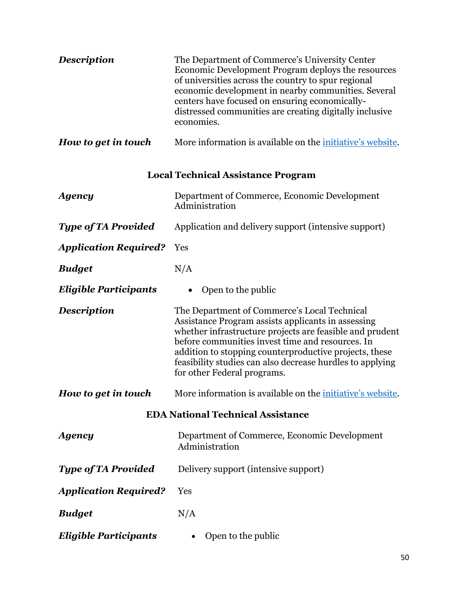| <b>Description</b>                       | The Department of Commerce's University Center<br>Economic Development Program deploys the resources<br>of universities across the country to spur regional<br>economic development in nearby communities. Several<br>centers have focused on ensuring economically-<br>distressed communities are creating digitally inclusive<br>economies.                            |  |
|------------------------------------------|--------------------------------------------------------------------------------------------------------------------------------------------------------------------------------------------------------------------------------------------------------------------------------------------------------------------------------------------------------------------------|--|
| How to get in touch                      | More information is available on the initiative's website.                                                                                                                                                                                                                                                                                                               |  |
|                                          | <b>Local Technical Assistance Program</b>                                                                                                                                                                                                                                                                                                                                |  |
| <b>Agency</b>                            | Department of Commerce, Economic Development<br>Administration                                                                                                                                                                                                                                                                                                           |  |
| <b>Type of TA Provided</b>               | Application and delivery support (intensive support)                                                                                                                                                                                                                                                                                                                     |  |
| <b>Application Required?</b>             | Yes                                                                                                                                                                                                                                                                                                                                                                      |  |
| <b>Budget</b>                            | N/A                                                                                                                                                                                                                                                                                                                                                                      |  |
| <b>Eligible Participants</b>             | Open to the public                                                                                                                                                                                                                                                                                                                                                       |  |
| <b>Description</b>                       | The Department of Commerce's Local Technical<br>Assistance Program assists applicants in assessing<br>whether infrastructure projects are feasible and prudent<br>before communities invest time and resources. In<br>addition to stopping counterproductive projects, these<br>feasibility studies can also decrease hurdles to applying<br>for other Federal programs. |  |
| How to get in touch                      | More information is available on the <i>initiative's</i> website.                                                                                                                                                                                                                                                                                                        |  |
| <b>EDA National Technical Assistance</b> |                                                                                                                                                                                                                                                                                                                                                                          |  |
| <b>Agency</b>                            | Department of Commerce, Economic Development<br>Administration                                                                                                                                                                                                                                                                                                           |  |
| <b>Type of TA Provided</b>               | Delivery support (intensive support)                                                                                                                                                                                                                                                                                                                                     |  |
| <b>Application Required?</b>             | Yes                                                                                                                                                                                                                                                                                                                                                                      |  |
| <b>Budget</b>                            | N/A                                                                                                                                                                                                                                                                                                                                                                      |  |
| <b>Eligible Participants</b>             | Open to the public                                                                                                                                                                                                                                                                                                                                                       |  |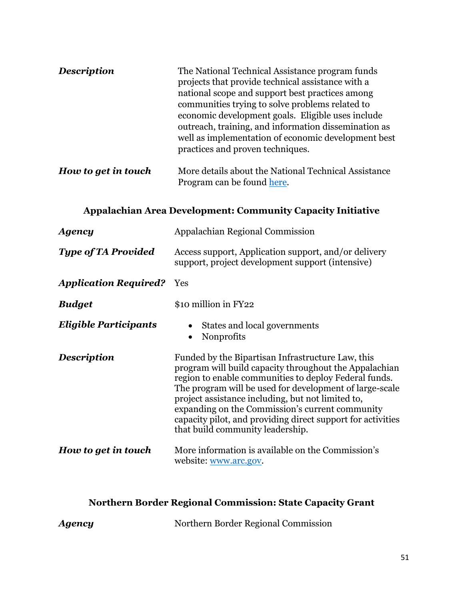| <b>Description</b>  | The National Technical Assistance program funds<br>projects that provide technical assistance with a<br>national scope and support best practices among<br>communities trying to solve problems related to<br>economic development goals. Eligible uses include<br>outreach, training, and information dissemination as<br>well as implementation of economic development best<br>practices and proven techniques. |
|---------------------|--------------------------------------------------------------------------------------------------------------------------------------------------------------------------------------------------------------------------------------------------------------------------------------------------------------------------------------------------------------------------------------------------------------------|
| How to get in touch | More details about the National Technical Assistance<br>Program can be found here.                                                                                                                                                                                                                                                                                                                                 |

### **Appalachian Area Development: Community Capacity Initiative**

| Agency                       | Appalachian Regional Commission                                                                                                                                                                                                                                                                                                                                                                                                            |  |
|------------------------------|--------------------------------------------------------------------------------------------------------------------------------------------------------------------------------------------------------------------------------------------------------------------------------------------------------------------------------------------------------------------------------------------------------------------------------------------|--|
| <b>Type of TA Provided</b>   | Access support, Application support, and/or delivery<br>support, project development support (intensive)                                                                                                                                                                                                                                                                                                                                   |  |
| <b>Application Required?</b> | Yes                                                                                                                                                                                                                                                                                                                                                                                                                                        |  |
| <b>Budget</b>                | \$10 million in FY22                                                                                                                                                                                                                                                                                                                                                                                                                       |  |
| <b>Eligible Participants</b> | States and local governments<br><b>Nonprofits</b>                                                                                                                                                                                                                                                                                                                                                                                          |  |
| <b>Description</b>           | Funded by the Bipartisan Infrastructure Law, this<br>program will build capacity throughout the Appalachian<br>region to enable communities to deploy Federal funds.<br>The program will be used for development of large-scale<br>project assistance including, but not limited to,<br>expanding on the Commission's current community<br>capacity pilot, and providing direct support for activities<br>that build community leadership. |  |
| How to get in touch          | More information is available on the Commission's<br>website: www.arc.gov.                                                                                                                                                                                                                                                                                                                                                                 |  |

#### **Northern Border Regional Commission: State Capacity Grant**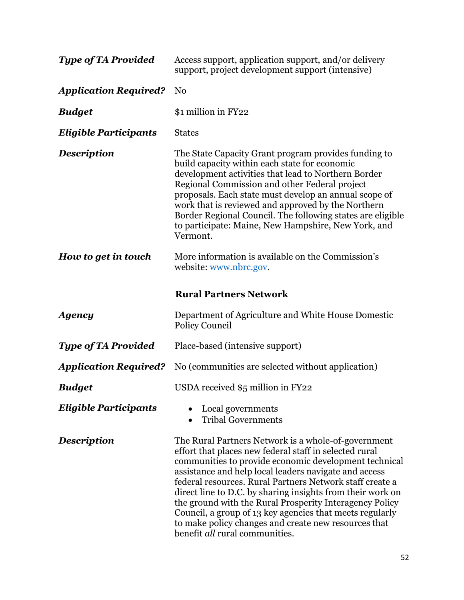| <b>Type of TA Provided</b>   | Access support, application support, and/or delivery<br>support, project development support (intensive)                                                                                                                                                                                                                                                                                                                                                                                                                                                                   |  |
|------------------------------|----------------------------------------------------------------------------------------------------------------------------------------------------------------------------------------------------------------------------------------------------------------------------------------------------------------------------------------------------------------------------------------------------------------------------------------------------------------------------------------------------------------------------------------------------------------------------|--|
| <b>Application Required?</b> | N <sub>0</sub>                                                                                                                                                                                                                                                                                                                                                                                                                                                                                                                                                             |  |
| <b>Budget</b>                | \$1 million in FY22                                                                                                                                                                                                                                                                                                                                                                                                                                                                                                                                                        |  |
| <b>Eligible Participants</b> | <b>States</b>                                                                                                                                                                                                                                                                                                                                                                                                                                                                                                                                                              |  |
| <b>Description</b>           | The State Capacity Grant program provides funding to<br>build capacity within each state for economic<br>development activities that lead to Northern Border<br>Regional Commission and other Federal project<br>proposals. Each state must develop an annual scope of<br>work that is reviewed and approved by the Northern<br>Border Regional Council. The following states are eligible<br>to participate: Maine, New Hampshire, New York, and<br>Vermont.                                                                                                              |  |
| How to get in touch          | More information is available on the Commission's<br>website: <u>www.nbrc.gov</u> .                                                                                                                                                                                                                                                                                                                                                                                                                                                                                        |  |
|                              | <b>Rural Partners Network</b>                                                                                                                                                                                                                                                                                                                                                                                                                                                                                                                                              |  |
| <b>Agency</b>                | Department of Agriculture and White House Domestic<br><b>Policy Council</b>                                                                                                                                                                                                                                                                                                                                                                                                                                                                                                |  |
| <b>Type of TA Provided</b>   | Place-based (intensive support)                                                                                                                                                                                                                                                                                                                                                                                                                                                                                                                                            |  |
| <b>Application Required?</b> | No (communities are selected without application)                                                                                                                                                                                                                                                                                                                                                                                                                                                                                                                          |  |
| <b>Budget</b>                | USDA received $$5$ million in FY22                                                                                                                                                                                                                                                                                                                                                                                                                                                                                                                                         |  |
| <b>Eligible Participants</b> | Local governments<br><b>Tribal Governments</b>                                                                                                                                                                                                                                                                                                                                                                                                                                                                                                                             |  |
| <b>Description</b>           | The Rural Partners Network is a whole-of-government<br>effort that places new federal staff in selected rural<br>communities to provide economic development technical<br>assistance and help local leaders navigate and access<br>federal resources. Rural Partners Network staff create a<br>direct line to D.C. by sharing insights from their work on<br>the ground with the Rural Prosperity Interagency Policy<br>Council, a group of 13 key agencies that meets regularly<br>to make policy changes and create new resources that<br>benefit all rural communities. |  |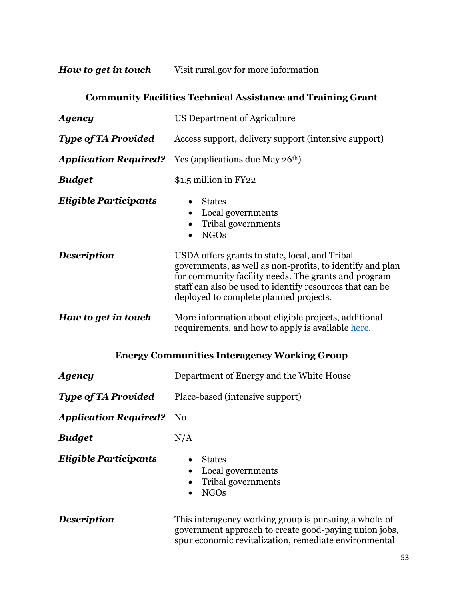*How to get in touch* Visit rural.gov for more information

### **Community Facilities Technical Assistance and Training Grant**

| Agency                       | US Department of Agriculture                                                                                                                                                                                                                                              |  |
|------------------------------|---------------------------------------------------------------------------------------------------------------------------------------------------------------------------------------------------------------------------------------------------------------------------|--|
| <b>Type of TA Provided</b>   | Access support, delivery support (intensive support)                                                                                                                                                                                                                      |  |
|                              | <b>Application Required?</b> Yes (applications due May 26 <sup>th</sup> )                                                                                                                                                                                                 |  |
| <b>Budget</b>                | $$1.5$ million in FY22                                                                                                                                                                                                                                                    |  |
| <b>Eligible Participants</b> | <b>States</b><br>Local governments<br>Tribal governments<br><b>NGOs</b>                                                                                                                                                                                                   |  |
| <b>Description</b>           | USDA offers grants to state, local, and Tribal<br>governments, as well as non-profits, to identify and plan<br>for community facility needs. The grants and program<br>staff can also be used to identify resources that can be<br>deployed to complete planned projects. |  |
| How to get in touch          | More information about eligible projects, additional<br>requirements, and how to apply is available here.                                                                                                                                                                 |  |

#### **Energy Communities Interagency Working Group**

| Agency                       | Department of Energy and the White House                                                                                                                                 |  |
|------------------------------|--------------------------------------------------------------------------------------------------------------------------------------------------------------------------|--|
| <b>Type of TA Provided</b>   | Place-based (intensive support)                                                                                                                                          |  |
| Application Required?        | N <sub>0</sub>                                                                                                                                                           |  |
| <b>Budget</b>                | N/A                                                                                                                                                                      |  |
| <b>Eligible Participants</b> | <b>States</b><br>Local governments<br><b>Tribal governments</b><br><b>NGOs</b>                                                                                           |  |
| <b>Description</b>           | This interagency working group is pursuing a whole-of-<br>government approach to create good-paying union jobs,<br>spur economic revitalization, remediate environmental |  |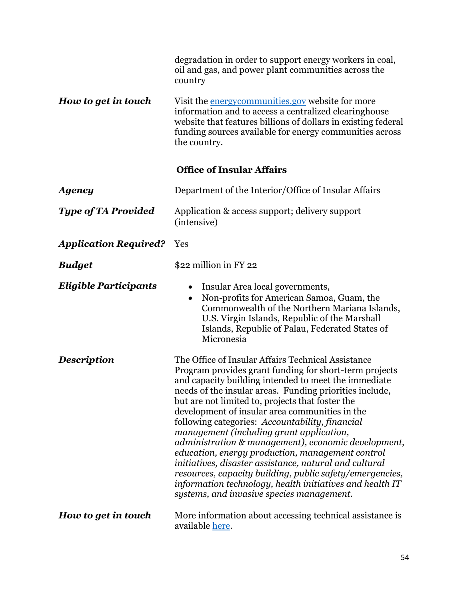|                              | degradation in order to support energy workers in coal,<br>oil and gas, and power plant communities across the<br>country                                                                                                                                                                                                                                                                                                                                                                                                                                                                                                                                                                                                                                                      |  |
|------------------------------|--------------------------------------------------------------------------------------------------------------------------------------------------------------------------------------------------------------------------------------------------------------------------------------------------------------------------------------------------------------------------------------------------------------------------------------------------------------------------------------------------------------------------------------------------------------------------------------------------------------------------------------------------------------------------------------------------------------------------------------------------------------------------------|--|
| How to get in touch          | Visit the energy communities.gov website for more<br>information and to access a centralized clearinghouse<br>website that features billions of dollars in existing federal<br>funding sources available for energy communities across<br>the country.                                                                                                                                                                                                                                                                                                                                                                                                                                                                                                                         |  |
|                              | <b>Office of Insular Affairs</b>                                                                                                                                                                                                                                                                                                                                                                                                                                                                                                                                                                                                                                                                                                                                               |  |
| <b>Agency</b>                | Department of the Interior/Office of Insular Affairs                                                                                                                                                                                                                                                                                                                                                                                                                                                                                                                                                                                                                                                                                                                           |  |
| <b>Type of TA Provided</b>   | Application & access support; delivery support<br>(intensive)                                                                                                                                                                                                                                                                                                                                                                                                                                                                                                                                                                                                                                                                                                                  |  |
| <b>Application Required?</b> | Yes                                                                                                                                                                                                                                                                                                                                                                                                                                                                                                                                                                                                                                                                                                                                                                            |  |
| <b>Budget</b>                | \$22 million in FY 22                                                                                                                                                                                                                                                                                                                                                                                                                                                                                                                                                                                                                                                                                                                                                          |  |
| <b>Eligible Participants</b> | Insular Area local governments,<br>$\bullet$<br>Non-profits for American Samoa, Guam, the<br>$\bullet$<br>Commonwealth of the Northern Mariana Islands,<br>U.S. Virgin Islands, Republic of the Marshall<br>Islands, Republic of Palau, Federated States of<br>Micronesia                                                                                                                                                                                                                                                                                                                                                                                                                                                                                                      |  |
| <b>Description</b>           | The Office of Insular Affairs Technical Assistance<br>Program provides grant funding for short-term projects<br>and capacity building intended to meet the immediate<br>needs of the insular areas. Funding priorities include,<br>but are not limited to, projects that foster the<br>development of insular area communities in the<br>following categories: Accountability, financial<br>management (including grant application,<br>administration & management), economic development,<br>education, energy production, management control<br>initiatives, disaster assistance, natural and cultural<br>resources, capacity building, public safety/emergencies,<br>information technology, health initiatives and health IT<br>systems, and invasive species management. |  |
| How to get in touch          | More information about accessing technical assistance is<br>available here.                                                                                                                                                                                                                                                                                                                                                                                                                                                                                                                                                                                                                                                                                                    |  |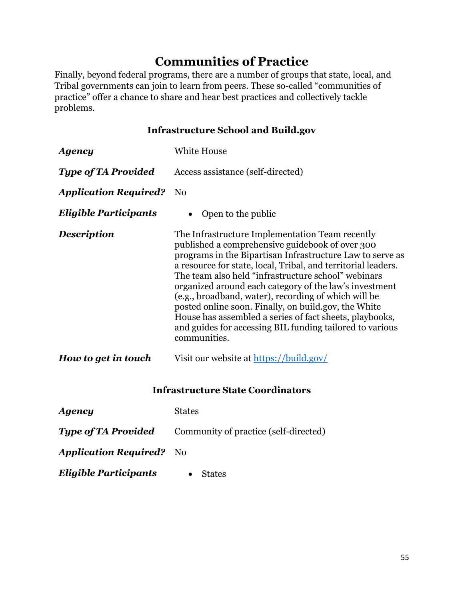# **Communities of Practice**

<span id="page-54-0"></span>Finally, beyond federal programs, there are a number of groups that state, local, and Tribal governments can join to learn from peers. These so-called "communities of practice" offer a chance to share and hear best practices and collectively tackle problems.

#### **Infrastructure School and Build.gov**

| <b>Agency</b>                | <b>White House</b>                                                                                                                                                                                                                                                                                                                                                                                                                                                                                                                                                                                       |  |
|------------------------------|----------------------------------------------------------------------------------------------------------------------------------------------------------------------------------------------------------------------------------------------------------------------------------------------------------------------------------------------------------------------------------------------------------------------------------------------------------------------------------------------------------------------------------------------------------------------------------------------------------|--|
| <b>Type of TA Provided</b>   | Access assistance (self-directed)                                                                                                                                                                                                                                                                                                                                                                                                                                                                                                                                                                        |  |
| <b>Application Required?</b> | N <sub>0</sub>                                                                                                                                                                                                                                                                                                                                                                                                                                                                                                                                                                                           |  |
| Eligible Participants        | Open to the public                                                                                                                                                                                                                                                                                                                                                                                                                                                                                                                                                                                       |  |
| <b>Description</b>           | The Infrastructure Implementation Team recently<br>published a comprehensive guidebook of over 300<br>programs in the Bipartisan Infrastructure Law to serve as<br>a resource for state, local, Tribal, and territorial leaders.<br>The team also held "infrastructure school" webinars<br>organized around each category of the law's investment<br>(e.g., broadband, water), recording of which will be<br>posted online soon. Finally, on build.gov, the White<br>House has assembled a series of fact sheets, playbooks,<br>and guides for accessing BIL funding tailored to various<br>communities. |  |
| How to get in touch          | Visit our website at https://build.gov/                                                                                                                                                                                                                                                                                                                                                                                                                                                                                                                                                                  |  |

#### **Infrastructure State Coordinators**

| Agency                          | <b>States</b>                                                    |
|---------------------------------|------------------------------------------------------------------|
|                                 | <b>Type of TA Provided</b> Community of practice (self-directed) |
| <b>Application Required?</b> No |                                                                  |
| <b>Eligible Participants</b>    | <b>States</b>                                                    |